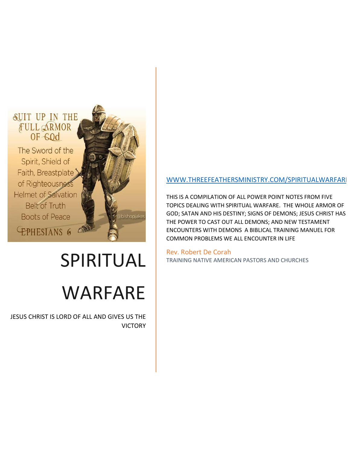

# SPIRITUAL

# WARFARE

JESUS CHRIST IS LORD OF ALL AND GIVES US THE VICTORY

#### WWW.THREEFEATHERSMINISTRY.COM/SPIRITUALWARFARI

THIS IS A COMPILATION OF ALL POWER POINT NOTES FROM FIVE TOPICS DEALING WITH SPIRITUAL WARFARE. THE WHOLE ARMOR OF GOD; SATAN AND HIS DESTINY; SIGNS OF DEMONS; JESUS CHRIST HAS THE POWER TO CAST OUT ALL DEMONS; AND NEW TESTAMENT ENCOUNTERS WITH DEMONS A BIBLICAL TRAINING MANUEL FOR COMMON PROBLEMS WE ALL ENCOUNTER IN LIFE

#### Rev. Robert De Corah TRAINING NATIVE AMERICAN PASTORS AND CHURCHES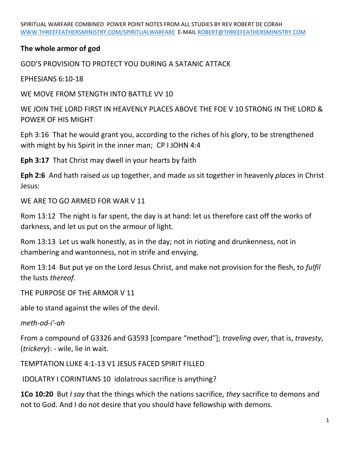# **The whole armor of god**

GOD'S PROVISION TO PROTECT YOU DURING A SATANIC ATTACK

EPHESIANS 6:10-18

WE MOVE FROM STENGTH INTO BATTLE VV 10

WE JOIN THE LORD FIRST IN HEAVENLY PLACES ABOVE THE FOE V 10 STRONG IN THE LORD & POWER OF HIS MIGHT

Eph 3:16 That he would grant you, according to the riches of his glory, to be strengthened with might by his Spirit in the inner man; CP I JOHN 4:4

**Eph 3:17** That Christ may dwell in your hearts by faith

**Eph 2:6** And hath raised *us* up together, and made *us* sit together in heavenly *places* in Christ Jesus:

WE ARE TO GO ARMED FOR WAR V 11

Rom 13:12 The night is far spent, the day is at hand: let us therefore cast off the works of darkness, and let us put on the armour of light.

Rom 13:13 Let us walk honestly, as in the day; not in rioting and drunkenness, not in chambering and wantonness, not in strife and envying.

Rom 13:14 But put ye on the Lord Jesus Christ, and make not provision for the flesh, to *fulfil* the lusts *thereof.*

THE PURPOSE OF THE ARMOR V 11

able to stand against the wiles of the devil.

*meth-od-i'-ah*

From a compound of G3326 and G3593 [compare "method"]; *traveling over*, that is, *travesty*, (*trickery*): - wile, lie in wait.

TEMPTATION LUKE 4:1-13 V1 JESUS FACED SPIRIT FILLED

IDOLATRY I CORINTIANS 10 idolatrous sacrifice is anything?

**1Co 10:20** But *I say* that the things which the nations sacrifice, *they* sacrifice to demons and not to God. And I do not desire that you should have fellowship with demons.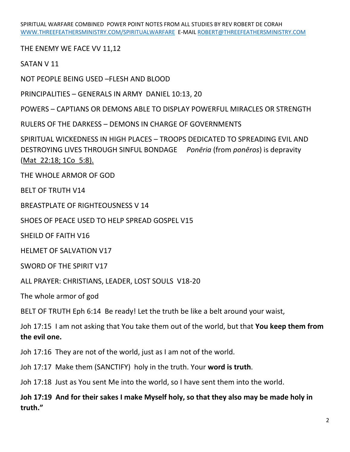THE ENEMY WE FACE VV 11,12

SATAN V 11

NOT PEOPLE BEING USED –FLESH AND BLOOD

PRINCIPALITIES – GENERALS IN ARMY DANIEL 10:13, 20

POWERS – CAPTIANS OR DEMONS ABLE TO DISPLAY POWERFUL MIRACLES OR STRENGTH

RULERS OF THE DARKESS – DEMONS IN CHARGE OF GOVERNMENTS

SPIRITUAL WICKEDNESS IN HIGH PLACES – TROOPS DEDICATED TO SPREADING EVIL AND DESTROYING LIVES THROUGH SINFUL BONDAGE *Ponēria* (from *ponēros*) is depravity (Mat 22:18; 1Co 5:8).

THE WHOLE ARMOR OF GOD

BELT OF TRUTH V14

BREASTPLATE OF RIGHTEOUSNESS V 14

SHOES OF PEACE USED TO HELP SPREAD GOSPEL V15

SHEILD OF FAITH V16

HELMET OF SALVATION V17

SWORD OF THE SPIRIT V17

ALL PRAYER: CHRISTIANS, LEADER, LOST SOULS V18-20

The whole armor of god

BELT OF TRUTH Eph 6:14 Be ready! Let the truth be like a belt around your waist,

Joh 17:15 I am not asking that You take them out of the world, but that **You keep them from the evil one.**

Joh 17:16 They are not of the world, just as I am not of the world.

Joh 17:17 Make them (SANCTIFY) holy in the truth. Your **word is truth**.

Joh 17:18 Just as You sent Me into the world, so I have sent them into the world.

**Joh 17:19 And for their sakes I make Myself holy, so that they also may be made holy in truth."**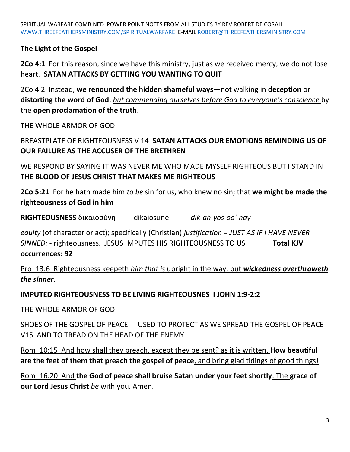# **The Light of the Gospel**

**2Co 4:1** For this reason, since we have this ministry, just as we received mercy, we do not lose heart. **SATAN ATTACKS BY GETTING YOU WANTING TO QUIT**

2Co 4:2 Instead, **we renounced the hidden shameful ways**—not walking in **deception** or **distorting the word of God**, *but commending ourselves before God to everyone's conscience* by the **open proclamation of the truth**.

THE WHOLE ARMOR OF GOD

BREASTPLATE OF RIGHTEOUSNESS V 14 **SATAN ATTACKS OUR EMOTIONS REMINDING US OF OUR FAILURE AS THE ACCUSER OF THE BRETHREN**

WE RESPOND BY SAYING IT WAS NEVER ME WHO MADE MYSELF RIGHTEOUS BUT I STAND IN **THE BLOOD OF JESUS CHRIST THAT MAKES ME RIGHTEOUS**

**2Co 5:21** For he hath made him *to be* sin for us, who knew no sin; that **we might be made the righteousness of God in him**

**RIGHTEOUSNESS** δικαιοσύνη dikaiosunē *dik-ah-yos-oo'-nay*

*equity* (of character or act); specifically (Christian) *justification = JUST AS IF I HAVE NEVER SINNED:* - righteousness. JESUS IMPUTES HIS RIGHTEOUSNESS TO US **Total KJV occurrences: 92**

Pro\_13:6 Righteousness keepeth *him that is* upright in the way: but *wickedness overthroweth the sinner*.

# **IMPUTED RIGHTEOUSNESS TO BE LIVING RIGHTEOUSNES I JOHN 1:9-2:2**

THE WHOLE ARMOR OF GOD

SHOES OF THE GOSPEL OF PEACE - USED TO PROTECT AS WE SPREAD THE GOSPEL OF PEACE V15 AND TO TREAD ON THE HEAD OF THE ENEMY

Rom\_10:15 And how shall they preach, except they be sent? as it is written, **How beautiful are the feet of them that preach the gospel of peace**, and bring glad tidings of good things!

Rom\_16:20 And **the God of peace shall bruise Satan under your feet shortly**. The **grace of our Lord Jesus Christ** *be* with you. Amen.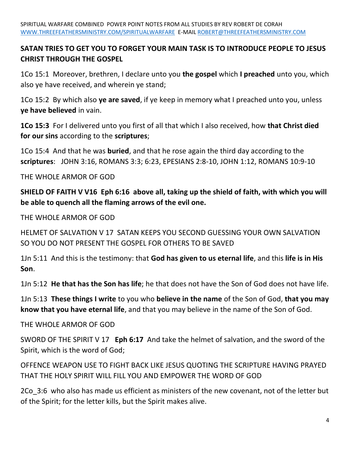# **SATAN TRIES TO GET YOU TO FORGET YOUR MAIN TASK IS TO INTRODUCE PEOPLE TO JESUS CHRIST THROUGH THE GOSPEL**

1Co 15:1 Moreover, brethren, I declare unto you **the gospel** which **I preached** unto you, which also ye have received, and wherein ye stand;

1Co 15:2 By which also **ye are saved**, if ye keep in memory what I preached unto you, unless **ye have believed** in vain.

**1Co 15:3** For I delivered unto you first of all that which I also received, how **that Christ died for our sins** according to the **scriptures**;

1Co 15:4 And that he was **buried**, and that he rose again the third day according to the **scriptures**: JOHN 3:16, ROMANS 3:3; 6:23, EPESIANS 2:8-10, JOHN 1:12, ROMANS 10:9-10

THE WHOLE ARMOR OF GOD

**SHIELD OF FAITH V V16 Eph 6:16 above all, taking up the shield of faith, with which you will be able to quench all the flaming arrows of the evil one.**

THE WHOLE ARMOR OF GOD

HELMET OF SALVATION V 17 SATAN KEEPS YOU SECOND GUESSING YOUR OWN SALVATION SO YOU DO NOT PRESENT THE GOSPEL FOR OTHERS TO BE SAVED

1Jn 5:11 And this is the testimony: that **God has given to us eternal life**, and this **life is in His Son**.

1Jn 5:12 **He that has the Son has life**; he that does not have the Son of God does not have life.

1Jn 5:13 **These things I write** to you who **believe in the name** of the Son of God, **that you may know that you have eternal life**, and that you may believe in the name of the Son of God.

THE WHOLE ARMOR OF GOD

SWORD OF THE SPIRIT V 17 **Eph 6:17** And take the helmet of salvation, and the sword of the Spirit, which is the word of God;

OFFENCE WEAPON USE TO FIGHT BACK LIKE JESUS QUOTING THE SCRIPTURE HAVING PRAYED THAT THE HOLY SPIRIT WILL FILL YOU AND EMPOWER THE WORD OF GOD

2Co\_3:6 who also has made us efficient as ministers of the new covenant, not of the letter but of the Spirit; for the letter kills, but the Spirit makes alive.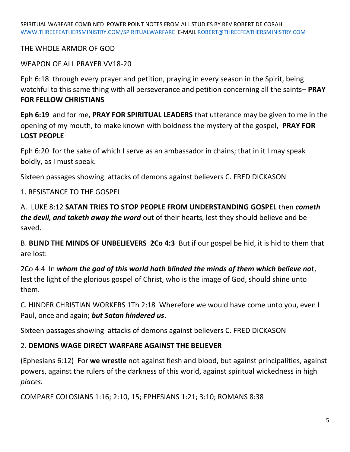# THE WHOLE ARMOR OF GOD

# WEAPON OF ALL PRAYER VV18-20

Eph 6:18 through every prayer and petition, praying in every season in the Spirit, being watchful to this same thing with all perseverance and petition concerning all the saints– **PRAY FOR FELLOW CHRISTIANS**

**Eph 6:19** and for me, **PRAY FOR SPIRITUAL LEADERS** that utterance may be given to me in the opening of my mouth, to make known with boldness the mystery of the gospel, **PRAY FOR LOST PEOPLE**

Eph 6:20 for the sake of which I serve as an ambassador in chains; that in it I may speak boldly, as I must speak.

Sixteen passages showing attacks of demons against believers C. FRED DICKASON

1. RESISTANCE TO THE GOSPEL

A. LUKE 8:12 **SATAN TRIES TO STOP PEOPLE FROM UNDERSTANDING GOSPEL** then *cometh the devil, and taketh away the word* out of their hearts, lest they should believe and be saved.

B. **BLIND THE MINDS OF UNBELIEVERS 2Co 4:3** But if our gospel be hid, it is hid to them that are lost:

2Co 4:4 In *whom the god of this world hath blinded the minds of them which believe no*t, lest the light of the glorious gospel of Christ, who is the image of God, should shine unto them.

C. HINDER CHRISTIAN WORKERS 1Th 2:18 Wherefore we would have come unto you, even I Paul, once and again; *but Satan hindered us*.

Sixteen passages showing attacks of demons against believers C. FRED DICKASON

# 2. **DEMONS WAGE DIRECT WARFARE AGAINST THE BELIEVER**

(Ephesians 6:12) For **we wrestle** not against flesh and blood, but against principalities, against powers, against the rulers of the darkness of this world, against spiritual wickedness in high *places.*

COMPARE COLOSIANS 1:16; 2:10, 15; EPHESIANS 1:21; 3:10; ROMANS 8:38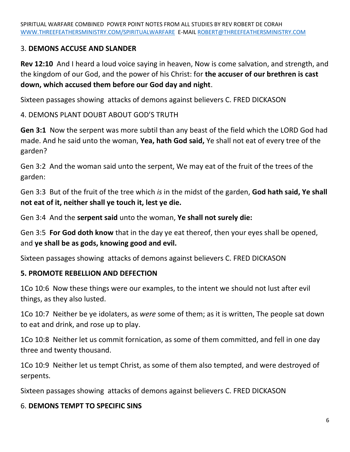## 3. **DEMONS ACCUSE AND SLANDER**

**Rev 12:10** And I heard a loud voice saying in heaven, Now is come salvation, and strength, and the kingdom of our God, and the power of his Christ: for **the accuser of our brethren is cast down, which accused them before our God day and night**.

Sixteen passages showing attacks of demons against believers C. FRED DICKASON

# 4. DEMONS PLANT DOUBT ABOUT GOD'S TRUTH

**Gen 3:1** Now the serpent was more subtil than any beast of the field which the LORD God had made. And he said unto the woman, **Yea, hath God said,** Ye shall not eat of every tree of the garden?

Gen 3:2 And the woman said unto the serpent, We may eat of the fruit of the trees of the garden:

Gen 3:3 But of the fruit of the tree which *is* in the midst of the garden, **God hath said, Ye shall not eat of it, neither shall ye touch it, lest ye die.**

Gen 3:4 And the **serpent said** unto the woman, **Ye shall not surely die:**

Gen 3:5 **For God doth know** that in the day ye eat thereof, then your eyes shall be opened, and **ye shall be as gods, knowing good and evil.**

Sixteen passages showing attacks of demons against believers C. FRED DICKASON

## **5. PROMOTE REBELLION AND DEFECTION**

1Co 10:6 Now these things were our examples, to the intent we should not lust after evil things, as they also lusted.

1Co 10:7 Neither be ye idolaters, as *were* some of them; as it is written, The people sat down to eat and drink, and rose up to play.

1Co 10:8 Neither let us commit fornication, as some of them committed, and fell in one day three and twenty thousand.

1Co 10:9 Neither let us tempt Christ, as some of them also tempted, and were destroyed of serpents.

Sixteen passages showing attacks of demons against believers C. FRED DICKASON

## 6. **DEMONS TEMPT TO SPECIFIC SINS**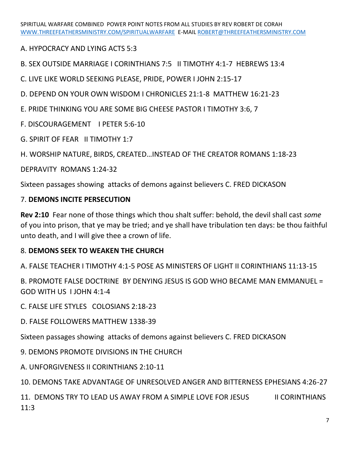A. HYPOCRACY AND LYING ACTS 5:3

B. SEX OUTSIDE MARRIAGE I CORINTHIANS 7:5 II TIMOTHY 4:1-7 HEBREWS 13:4

C. LIVE LIKE WORLD SEEKING PLEASE, PRIDE, POWER I JOHN 2:15-17

D. DEPEND ON YOUR OWN WISDOM I CHRONICLES 21:1-8 MATTHEW 16:21-23

E. PRIDE THINKING YOU ARE SOME BIG CHEESE PASTOR I TIMOTHY 3:6, 7

F. DISCOURAGEMENT I PETER 5:6-10

G. SPIRIT OF FEAR II TIMOTHY 1:7

H. WORSHIP NATURE, BIRDS, CREATED…INSTEAD OF THE CREATOR ROMANS 1:18-23

DEPRAVITY ROMANS 1:24-32

Sixteen passages showing attacks of demons against believers C. FRED DICKASON

# 7. **DEMONS INCITE PERSECUTION**

**Rev 2:10** Fear none of those things which thou shalt suffer: behold, the devil shall cast *some* of you into prison, that ye may be tried; and ye shall have tribulation ten days: be thou faithful unto death, and I will give thee a crown of life.

# 8. **DEMONS SEEK TO WEAKEN THE CHURCH**

A. FALSE TEACHER I TIMOTHY 4:1-5 POSE AS MINISTERS OF LIGHT II CORINTHIANS 11:13-15

B. PROMOTE FALSE DOCTRINE BY DENYING JESUS IS GOD WHO BECAME MAN EMMANUEL = GOD WITH US I JOHN 4:1-4

C. FALSE LIFE STYLES COLOSIANS 2:18-23

D. FALSE FOLLOWERS MATTHEW 1338-39

Sixteen passages showing attacks of demons against believers C. FRED DICKASON

9. DEMONS PROMOTE DIVISIONS IN THE CHURCH

A. UNFORGIVENESS II CORINTHIANS 2:10-11

10. DEMONS TAKE ADVANTAGE OF UNRESOLVED ANGER AND BITTERNESS EPHESIANS 4:26-27

11. DEMONS TRY TO LEAD US AWAY FROM A SIMPLE LOVE FOR JESUS III CORINTHIANS 11:3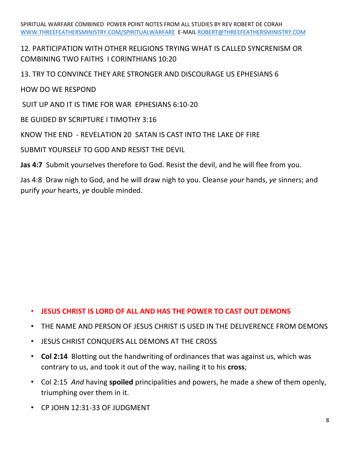SPIRITUAL WARFARE COMBINED POWER POINT NOTES FROM ALL STUDIES BY REV ROBERT DE CORAH [WWW.THREEFEATHERSMINISTRY.COM/SPIRITUALWARFARE](http://www.threefeathersministry.com/SPIRITUALWARFARE) E-MAIL [ROBERT@THREEFEATHERSMINISTRY.COM](mailto:ROBERT@THREEFEATHERSMINISTRY.COM)

12. PARTICIPATION WITH OTHER RELIGIONS TRYING WHAT IS CALLED SYNCRENISM OR COMBINING TWO FAITHS I CORINTHIANS 10:20

13. TRY TO CONVINCE THEY ARE STRONGER AND DISCOURAGE US EPHESIANS 6

HOW DO WE RESPOND

SUIT UP AND IT IS TIME FOR WAR EPHESIANS 6:10-20

BE GUIDED BY SCRIPTURE I TIMOTHY 3:16

KNOW THE END - REVELATION 20 SATAN IS CAST INTO THE LAKE OF FIRE

SUBMIT YOURSELF TO GOD AND RESIST THE DEVIL

**Jas 4:7** Submit yourselves therefore to God. Resist the devil, and he will flee from you.

Jas 4:8 Draw nigh to God, and he will draw nigh to you. Cleanse *your* hands, *ye* sinners; and purify *your* hearts, *ye* double minded.

## • **JESUS CHRIST IS LORD OF ALL AND HAS THE POWER TO CAST OUT DEMONS**

- THE NAME AND PERSON OF JESUS CHRIST IS USED IN THE DELIVERENCE FROM DEMONS
- JESUS CHRIST CONQUERS ALL DEMONS AT THE CROSS
- **Col 2:14** Blotting out the handwriting of ordinances that was against us, which was contrary to us, and took it out of the way, nailing it to his **cross**;
- Col 2:15 *And* having **spoiled** principalities and powers, he made a shew of them openly, triumphing over them in it.
- CP JOHN 12:31-33 OF JUDGMENT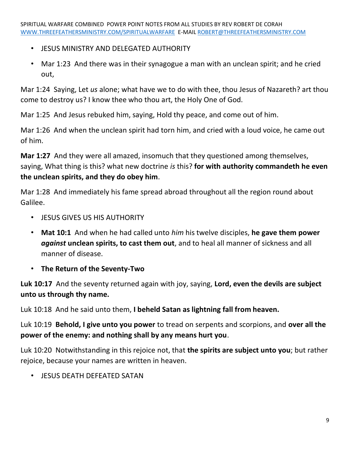- JESUS MINISTRY AND DELEGATED AUTHORITY
- Mar 1:23 And there was in their synagogue a man with an unclean spirit; and he cried out,

Mar 1:24 Saying, Let *us* alone; what have we to do with thee, thou Jesus of Nazareth? art thou come to destroy us? I know thee who thou art, the Holy One of God.

Mar 1:25 And Jesus rebuked him, saying, Hold thy peace, and come out of him.

Mar 1:26 And when the unclean spirit had torn him, and cried with a loud voice, he came out of him.

**Mar 1:27** And they were all amazed, insomuch that they questioned among themselves, saying, What thing is this? what new doctrine *is* this? **for with authority commandeth he even the unclean spirits, and they do obey him**.

Mar 1:28 And immediately his fame spread abroad throughout all the region round about Galilee.

- JESUS GIVES US HIS AUTHORITY
- **Mat 10:1** And when he had called unto *him* his twelve disciples, **he gave them power**  *against* **unclean spirits, to cast them out**, and to heal all manner of sickness and all manner of disease.
- **The Return of the Seventy-Two**

**Luk 10:17** And the seventy returned again with joy, saying, **Lord, even the devils are subject unto us through thy name.**

Luk 10:18 And he said unto them, **I beheld Satan as lightning fall from heaven.**

Luk 10:19 **Behold, I give unto you power** to tread on serpents and scorpions, and **over all the power of the enemy: and nothing shall by any means hurt you**.

Luk 10:20 Notwithstanding in this rejoice not, that **the spirits are subject unto you**; but rather rejoice, because your names are written in heaven.

• JESUS DEATH DEFEATED SATAN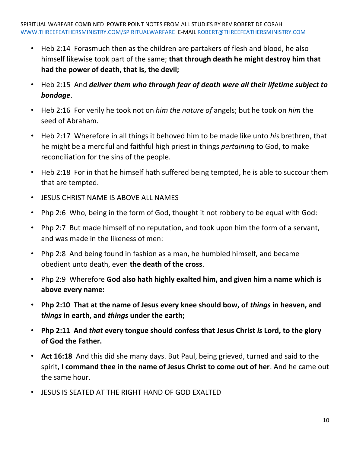- Heb 2:14 Forasmuch then as the children are partakers of flesh and blood, he also himself likewise took part of the same; **that through death he might destroy him that had the power of death, that is, the devil;**
- Heb 2:15 And *deliver them who through fear of death were all their lifetime subject to bondage*.
- Heb 2:16 For verily he took not on *him the nature of* angels; but he took on *him* the seed of Abraham.
- Heb 2:17 Wherefore in all things it behoved him to be made like unto *his* brethren, that he might be a merciful and faithful high priest in things *pertaining* to God, to make reconciliation for the sins of the people.
- Heb 2:18 For in that he himself hath suffered being tempted, he is able to succour them that are tempted.
- JESUS CHRIST NAME IS ABOVE ALL NAMES
- Php 2:6 Who, being in the form of God, thought it not robbery to be equal with God:
- Php 2:7 But made himself of no reputation, and took upon him the form of a servant, and was made in the likeness of men:
- Php 2:8 And being found in fashion as a man, he humbled himself, and became obedient unto death, even **the death of the cross**.
- Php 2:9 Wherefore **God also hath highly exalted him, and given him a name which is above every name:**
- **Php 2:10 That at the name of Jesus every knee should bow, of** *things* **in heaven, and**  *things* **in earth, and** *things* **under the earth;**
- **Php 2:11 And** *that* **every tongue should confess that Jesus Christ** *is* **Lord, to the glory of God the Father.**
- **Act 16:18** And this did she many days. But Paul, being grieved, turned and said to the spirit**, I command thee in the name of Jesus Christ to come out of her**. And he came out the same hour.
- JESUS IS SEATED AT THE RIGHT HAND OF GOD EXALTED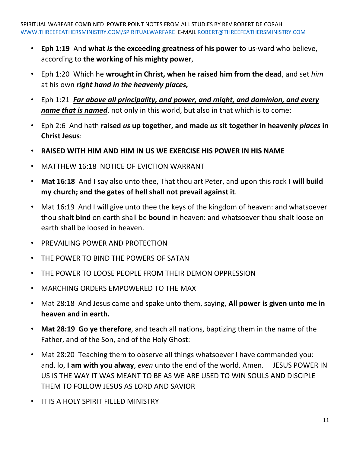- **Eph 1:19** And **what** *is* **the exceeding greatness of his power** to us-ward who believe, according to **the working of his mighty power**,
- Eph 1:20 Which he **wrought in Christ, when he raised him from the dead**, and set *him* at his own *right hand in the heavenly places,*
- Eph 1:21 *Far above all principality, and power, and might, and dominion, and every name that is named*, not only in this world, but also in that which is to come:
- Eph 2:6 And hath **raised** *us* **up together, and made** *us* **sit together in heavenly** *places* **in Christ Jesus**:
- **RAISED WITH HIM AND HIM IN US WE EXERCISE HIS POWER IN HIS NAME**
- MATTHEW 16:18 NOTICE OF EVICTION WARRANT
- **Mat 16:18** And I say also unto thee, That thou art Peter, and upon this rock **I will build my church; and the gates of hell shall not prevail against it**.
- Mat 16:19 And I will give unto thee the keys of the kingdom of heaven: and whatsoever thou shalt **bind** on earth shall be **bound** in heaven: and whatsoever thou shalt loose on earth shall be loosed in heaven.
- PREVAILING POWER AND PROTECTION
- THE POWER TO BIND THE POWERS OF SATAN
- THE POWER TO LOOSE PEOPLE FROM THEIR DEMON OPPRESSION
- MARCHING ORDERS EMPOWERED TO THE MAX
- Mat 28:18 And Jesus came and spake unto them, saying, **All power is given unto me in heaven and in earth.**
- **Mat 28:19 Go ye therefore**, and teach all nations, baptizing them in the name of the Father, and of the Son, and of the Holy Ghost:
- Mat 28:20 Teaching them to observe all things whatsoever I have commanded you: and, lo, **I am with you alway**, *even* unto the end of the world. Amen. JESUS POWER IN US IS THE WAY IT WAS MEANT TO BE AS WE ARE USED TO WIN SOULS AND DISCIPLE THEM TO FOLLOW JESUS AS LORD AND SAVIOR
- IT IS A HOLY SPIRIT FILLED MINISTRY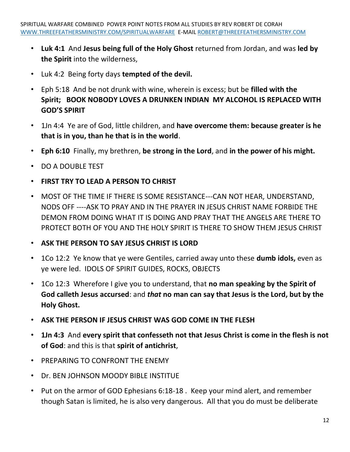- **Luk 4:1** And **Jesus being full of the Holy Ghost** returned from Jordan, and was **led by the Spirit** into the wilderness,
- Luk 4:2 Being forty days **tempted of the devil.**
- Eph 5:18 And be not drunk with wine, wherein is excess; but be **filled with the Spirit; BOOK NOBODY LOVES A DRUNKEN INDIAN MY ALCOHOL IS REPLACED WITH GOD'S SPIRIT**
- 1Jn 4:4 Ye are of God, little children, and **have overcome them: because greater is he that is in you, than he that is in the world**.
- **Eph 6:10** Finally, my brethren, **be strong in the Lord**, and **in the power of his might.**
- DO A DOUBLE TEST
- **FIRST TRY TO LEAD A PERSON TO CHRIST**
- MOST OF THE TIME IF THERE IS SOME RESISTANCE---CAN NOT HEAR, UNDERSTAND, NODS OFF ----ASK TO PRAY AND IN THE PRAYER IN JESUS CHRIST NAME FORBIDE THE DEMON FROM DOING WHAT IT IS DOING AND PRAY THAT THE ANGELS ARE THERE TO PROTECT BOTH OF YOU AND THE HOLY SPIRIT IS THERE TO SHOW THEM JESUS CHRIST
- **ASK THE PERSON TO SAY JESUS CHRIST IS LORD**
- 1Co 12:2 Ye know that ye were Gentiles, carried away unto these **dumb idols,** even as ye were led. IDOLS OF SPIRIT GUIDES, ROCKS, OBJECTS
- 1Co 12:3 Wherefore I give you to understand, that **no man speaking by the Spirit of God calleth Jesus accursed**: and *that* **no man can say that Jesus is the Lord, but by the Holy Ghost.**
- **ASK THE PERSON IF JESUS CHRIST WAS GOD COME IN THE FLESH**
- **1Jn 4:3** And **every spirit that confesseth not that Jesus Christ is come in the flesh is not of God**: and this is that **spirit of antichrist**,
- PREPARING TO CONFRONT THE ENEMY
- Dr. BEN JOHNSON MOODY BIBLE INSTITUE
- Put on the armor of GOD Ephesians 6:18-18 . Keep your mind alert, and remember though Satan is limited, he is also very dangerous. All that you do must be deliberate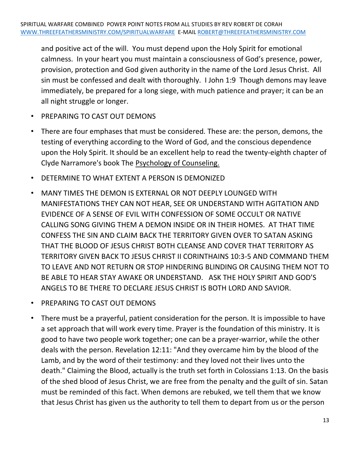and positive act of the will. You must depend upon the Holy Spirit for emotional calmness. In your heart you must maintain a consciousness of God's presence, power, provision, protection and God given authority in the name of the Lord Jesus Christ. All sin must be confessed and dealt with thoroughly. I John 1:9 Though demons may leave immediately, be prepared for a long siege, with much patience and prayer; it can be an all night struggle or longer.

- PREPARING TO CAST OUT DEMONS
- There are four emphases that must be considered. These are: the person, demons, the testing of everything according to the Word of God, and the conscious dependence upon the Holy Spirit. It should be an excellent help to read the twenty-eighth chapter of Clyde Narramore's book The Psychology of Counseling.
- DETERMINE TO WHAT EXTENT A PERSON IS DEMONIZED
- MANY TIMES THE DEMON IS EXTERNAL OR NOT DEEPLY LOUNGED WITH MANIFESTATIONS THEY CAN NOT HEAR, SEE OR UNDERSTAND WITH AGITATION AND EVIDENCE OF A SENSE OF EVIL WITH CONFESSION OF SOME OCCULT OR NATIVE CALLING SONG GIVING THEM A DEMON INSIDE OR IN THEIR HOMES. AT THAT TIME CONFESS THE SIN AND CLAIM BACK THE TERRITORY GIVEN OVER TO SATAN ASKING THAT THE BLOOD OF JESUS CHRIST BOTH CLEANSE AND COVER THAT TERRITORY AS TERRITORY GIVEN BACK TO JESUS CHRIST II CORINTHAINS 10:3-5 AND COMMAND THEM TO LEAVE AND NOT RETURN OR STOP HINDERING BLINDING OR CAUSING THEM NOT TO BE ABLE TO HEAR STAY AWAKE OR UNDERSTAND. ASK THE HOLY SPIRIT AND GOD'S ANGELS TO BE THERE TO DECLARE JESUS CHRIST IS BOTH LORD AND SAVIOR.
- PREPARING TO CAST OUT DEMONS
- There must be a prayerful, patient consideration for the person. It is impossible to have a set approach that will work every time. Prayer is the foundation of this ministry. It is good to have two people work together; one can be a prayer-warrior, while the other deals with the person. Revelation 12:11: "And they overcame him by the blood of the Lamb, and by the word of their testimony: and they loved not their lives unto the death." Claiming the Blood, actually is the truth set forth in Colossians 1:13. On the basis of the shed blood of Jesus Christ, we are free from the penalty and the guilt of sin. Satan must be reminded of this fact. When demons are rebuked, we tell them that we know that Jesus Christ has given us the authority to tell them to depart from us or the person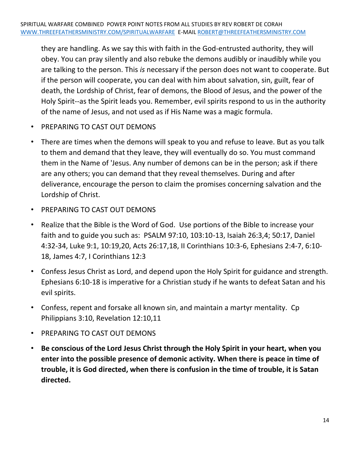they are handling. As we say this with faith in the God-entrusted authority, they will obey. You can pray silently and also rebuke the demons audibly or inaudibly while you are talking to the person. This *is* necessary if the person does not want to cooperate. But if the person will cooperate, you can deal with him about salvation, sin, guilt, fear of death, the Lordship of Christ, fear of demons, the Blood of Jesus, and the power of the Holy Spirit--as the Spirit leads you. Remember, evil spirits respond to us in the authority of the name of Jesus, and not used as if His Name was a magic formula.

- PREPARING TO CAST OUT DEMONS
- There are times when the demons will speak to you and refuse to leave. But as you talk to them and demand that they leave, they will eventually do so. You must command them in the Name of 'Jesus. Any number of demons can be in the person; ask if there are any others; you can demand that they reveal themselves. During and after deliverance, encourage the person to claim the promises concerning salvation and the Lordship of Christ.
- PREPARING TO CAST OUT DEMONS
- Realize that the Bible is the Word of God. Use portions of the Bible to increase your faith and to guide you such as: PSALM 97:10, 103:10-13, Isaiah 26:3,4; 50:17, Daniel 4:32-34, Luke 9:1, 10:19,20, Acts 26:17,18, II Corinthians 10:3-6, Ephesians 2:4-7, 6:10- 18, James 4:7, I Corinthians 12:3
- Confess Jesus Christ as Lord, and depend upon the Holy Spirit for guidance and strength. Ephesians 6:10-18 is imperative for a Christian study if he wants to defeat Satan and his evil spirits.
- Confess, repent and forsake all known sin, and maintain a martyr mentality. Cp Philippians 3:10, Revelation 12:10,11
- PREPARING TO CAST OUT DEMONS
- **Be conscious of the Lord Jesus Christ through the Holy Spirit in your heart, when you enter into the possible presence of demonic activity. When there is peace in time of trouble, it is God directed, when there is confusion in the time of trouble, it is Satan directed.**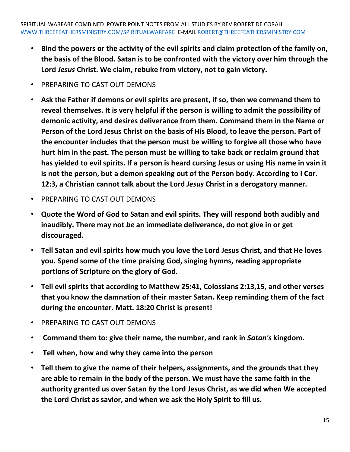- **Bind the powers or the activity of the evil spirits and claim protection of the family on, the basis of the Blood. Satan is to be confronted with the victory over him through the Lord** *Jesus* **Christ. We claim, rebuke from victory, not to gain victory.**
- PREPARING TO CAST OUT DEMONS
- **Ask the Father if demons or evil spirits are present, if so, then we command them to reveal themselves. It is very helpful if the person is willing to admit the possibility of demonic activity, and desires deliverance from them. Command them in the Name or Person of the Lord Jesus Christ on the basis of His Blood, to leave the person. Part of the encounter includes that the person must be willing to forgive all those who have hurt him in the past. The person must be willing to take back or reclaim ground that has yielded to evil spirits. If a person is heard cursing Jesus or using His name in vain it is not the person, but a demon speaking out of the Person body. According to I Cor. 12:3, a Christian cannot talk about the Lord** *Jesus* **Christ in a derogatory manner.**
- PREPARING TO CAST OUT DEMONS
- **Quote the Word of God to Satan and evil spirits. They will respond both audibly and inaudibly. There may not** *be* **an immediate deliverance, do not give in or get discouraged.**
- **Tell Satan and evil spirits how much you love the Lord Jesus Christ, and that He loves you. Spend some of the time praising God, singing hymns, reading appropriate portions of Scripture on the glory of God.**
- **Tell evil spirits that according to Matthew 25:41, Colossians 2:13,15, and other verses that you know the damnation of their master Satan. Keep reminding them of the fact during the encounter. Matt. 18:20 Christ is present!**
- PREPARING TO CAST OUT DEMONS
- **Command them to: give their name, the number, and rank in** *Satan's* **kingdom.**
- **Tell when, how and why they came into the person**
- **Tell them to give the name of their helpers, assignments, and the grounds that they are able to remain in the body of the person. We must have the same faith in the authority granted us over Satan** *by* **the Lord Jesus Christ, as we did when We accepted the Lord Christ as savior, and when we ask the Holy Spirit to fill us.**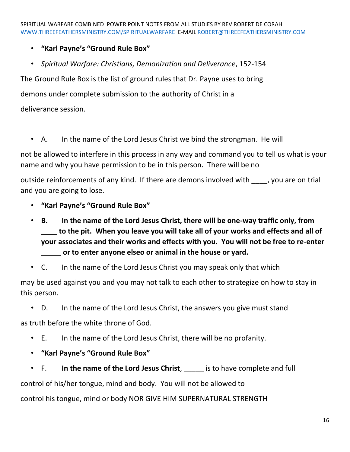# • **"Karl Payne's "Ground Rule Box"**

• *Spiritual Warfare: Christians, Demonization and Deliverance*, 152-154

The Ground Rule Box is the list of ground rules that Dr. Payne uses to bring demons under complete submission to the authority of Christ in a deliverance session.

• A. In the name of the Lord Jesus Christ we bind the strongman. He will

not be allowed to interfere in this process in any way and command you to tell us what is your name and why you have permission to be in this person. There will be no

outside reinforcements of any kind. If there are demons involved with the position on trial and you are going to lose.

- **"Karl Payne's "Ground Rule Box"**
- **B. In the name of the Lord Jesus Christ, there will be one-way traffic only, from \_\_\_\_ to the pit. When you leave you will take all of your works and effects and all of your associates and their works and effects with you. You will not be free to re-enter \_\_\_\_\_ or to enter anyone elseo or animal in the house or yard.**
- C. In the name of the Lord Jesus Christ you may speak only that which

may be used against you and you may not talk to each other to strategize on how to stay in this person.

• D. In the name of the Lord Jesus Christ, the answers you give must stand

as truth before the white throne of God.

- E. In the name of the Lord Jesus Christ, there will be no profanity.
- **"Karl Payne's "Ground Rule Box"**

• F. **In the name of the Lord Jesus Christ**, \_\_\_\_\_ is to have complete and full control of his/her tongue, mind and body. You will not be allowed to control his tongue, mind or body NOR GIVE HIM SUPERNATURAL STRENGTH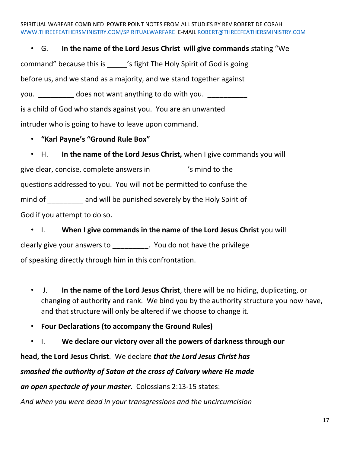SPIRITUAL WARFARE COMBINED POWER POINT NOTES FROM ALL STUDIES BY REV ROBERT DE CORAH [WWW.THREEFEATHERSMINISTRY.COM/SPIRITUALWARFARE](http://www.threefeathersministry.com/SPIRITUALWARFARE) E-MAIL [ROBERT@THREEFEATHERSMINISTRY.COM](mailto:ROBERT@THREEFEATHERSMINISTRY.COM)

• G. **In the name of the Lord Jesus Christ will give commands** stating "We command" because this is \_\_\_\_\_'s fight The Holy Spirit of God is going before us, and we stand as a majority, and we stand together against you. The does not want anything to do with you. is a child of God who stands against you. You are an unwanted intruder who is going to have to leave upon command.

• **"Karl Payne's "Ground Rule Box"**

• H. **In the name of the Lord Jesus Christ,** when I give commands you will give clear, concise, complete answers in \_\_\_\_\_\_\_\_\_'s mind to the questions addressed to you. You will not be permitted to confuse the mind of and will be punished severely by the Holy Spirit of God if you attempt to do so.

• I. **When I give commands in the name of the Lord Jesus Christ** you will clearly give your answers to \_\_\_\_\_\_\_\_\_. You do not have the privilege of speaking directly through him in this confrontation.

- J. **In the name of the Lord Jesus Christ**, there will be no hiding, duplicating, or changing of authority and rank. We bind you by the authority structure you now have, and that structure will only be altered if we choose to change it.
- **Four Declarations (to accompany the Ground Rules)**

• I. **We declare our victory over all the powers of darkness through our head, the Lord Jesus Christ**. We declare *that the Lord Jesus Christ has smashed the authority of Satan at the cross of Calvary where He made an open spectacle of your master.* Colossians 2:13-15 states:

*And when you were dead in your transgressions and the uncircumcision*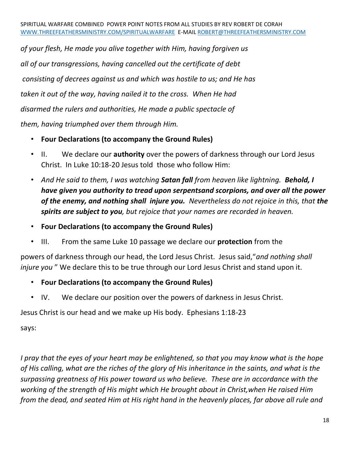*of your flesh, He made you alive together with Him, having forgiven us all of our transgressions, having cancelled out the certificate of debt consisting of decrees against us and which was hostile to us; and He has taken it out of the way, having nailed it to the cross. When He had disarmed the rulers and authorities, He made a public spectacle of them, having triumphed over them through Him.* 

- **Four Declarations (to accompany the Ground Rules)**
- II. We declare our **authority** over the powers of darkness through our Lord Jesus Christ. In Luke 10:18-20 Jesus told those who follow Him:
- *And He said to them, I was watching Satan fall from heaven like lightning. Behold, I have given you authority to tread upon serpentsand scorpions, and over all the power of the enemy, and nothing shall injure you. Nevertheless do not rejoice in this, that the spirits are subject to you, but rejoice that your names are recorded in heaven.*
- **Four Declarations (to accompany the Ground Rules)**
- III. From the same Luke 10 passage we declare our **protection** from the

powers of darkness through our head, the Lord Jesus Christ. Jesus said,"*and nothing shall injure you* " We declare this to be true through our Lord Jesus Christ and stand upon it.

- **Four Declarations (to accompany the Ground Rules)**
- IV. We declare our position over the powers of darkness in Jesus Christ.

Jesus Christ is our head and we make up His body. Ephesians 1:18-23

says:

*I pray that the eyes of your heart may be enlightened, so that you may know what is the hope of His calling, what are the riches of the glory of His inheritance in the saints, and what is the surpassing greatness of His power toward us who believe. These are in accordance with the working of the strength of His might which He brought about in Christ,when He raised Him from the dead, and seated Him at His right hand in the heavenly places, far above all rule and*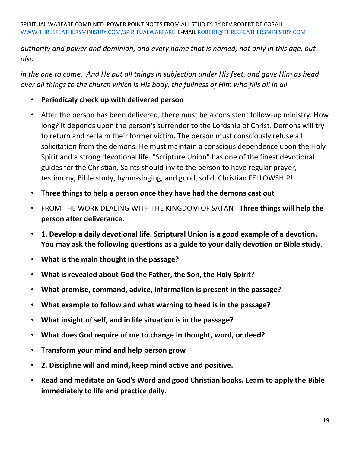*authority and power and dominion, and every name that is named, not only in this age, but also*

*in the one to come. And He put all things in subjection under His feet, and gave Him as head over all things to the church which is His body, the fullness of Him who fills all in all.* 

- **Periodicaly check up with delivered person**
- After the person has been delivered, there must be a consistent follow-up ministry. How long? It depends upon the person's surrender to the Lordship of Christ. Demons will try to return and reclaim their former victim. The person must consciously refuse all solicitation from the demons. He must maintain a conscious dependence upon the Holy Spirit and a strong devotional life. "Scripture Union" has one of the finest devotional guides for the Christian. Saints should invite the person to have regular prayer, testimony, Bible study, hymn-singing, and good, solid, Christian FELLOWSHIP!
- **Three things to help a person once they have had the demons cast out**
- FROM THE WORK DEALING WITH THE KINGDOM OF SATAN **Three things will help the person after deliverance.**
- **1. Develop a daily devotional life. Scriptural Union is a good example of a devotion. You may ask the following questions as a guide to your daily devotion or Bible study.**
- **What is the main thought in the passage?**
- **What is revealed about God the Father, the Son, the Holy Spirit?**
- **What promise, command, advice, information is present in the passage?**
- **What example to follow and what warning to heed is in the passage?**
- **What insight of self, and in life situation is in the passage?**
- **What does God require of me to change in thought, word, or deed?**
- **Transform your mind and help person grow**
- **2. Discipline will and mind, keep mind active and positive.**
- **Read and meditate on God's Word and good Christian books. Learn to apply the Bible immediately to life and practice daily.**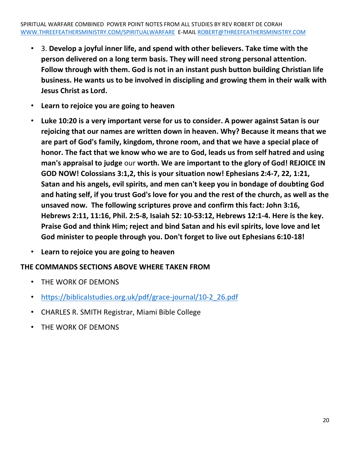- 3. **Develop a joyful inner life, and spend with other believers. Take time with the person delivered on a long term basis. They will need strong personal attention. Follow through with them. God is not in an instant push button building Christian life business. He wants us to be involved in discipling and growing them in their walk with Jesus Christ as Lord.**
- **Learn to rejoice you are going to heaven**
- **Luke 10:20 is a very important verse for us to consider. A power against Satan is our rejoicing that our names are written down in heaven. Why? Because it means that we are part of God's family, kingdom, throne room, and that we have a special place of honor. The fact that we know who we are to God, leads us from self hatred and using man's appraisal to judge** our **worth. We are important to the glory of God! REJOICE IN GOD NOW! Colossians 3:1,2, this is your situation now! Ephesians 2:4-7, 22, 1:21, Satan and his angels, evil spirits, and men can't keep you in bondage of doubting God and hating self, if you trust God's love for you and the rest of the church, as well as the unsaved now. The following scriptures prove and confirm this fact: John 3:16, Hebrews 2:11, 11:16, Phil. 2:5-8, Isaiah 52: 10-53:12, Hebrews 12:1-4. Here is the key. Praise God and think Him; reject and bind Satan and his evil spirits, love love and let God minister to people through you. Don't forget to live out Ephesians 6:10-18!**
- **Learn to rejoice you are going to heaven**

## **THE COMMANDS SECTIONS ABOVE WHERE TAKEN FROM**

- THE WORK OF DEMONS
- [https://biblicalstudies.org.uk/pdf/grace-journal/10-2\\_26.pdf](https://biblicalstudies.org.uk/pdf/grace-journal/10-2_26.pdf)
- CHARLES R. SMITH Registrar, Miami Bible College
- THE WORK OF DEMONS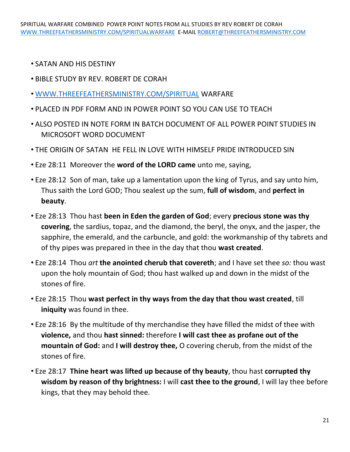- SATAN AND HIS DESTINY
- BIBLE STUDY BY REV. ROBERT DE CORAH
- [WWW.THREEFEATHERSMINISTRY.COM/SPIRITUAL](http://www.threefeathersministry.com/SPIRITUAL) WARFARE
- PLACED IN PDF FORM AND IN POWER POINT SO YOU CAN USE TO TEACH
- ALSO POSTED IN NOTE FORM IN BATCH DOCUMENT OF ALL POWER POINT STUDIES IN MICROSOFT WORD DOCUMENT
- THE ORIGIN OF SATAN HE FELL IN LOVE WITH HIMSELF PRIDE INTRODUCED SIN
- Eze 28:11 Moreover the **word of the LORD came** unto me, saying,
- Eze 28:12 Son of man, take up a lamentation upon the king of Tyrus, and say unto him, Thus saith the Lord GOD; Thou sealest up the sum, **full of wisdom**, and **perfect in beauty**.
- Eze 28:13 Thou hast **been in Eden the garden of God**; every **precious stone was thy covering**, the sardius, topaz, and the diamond, the beryl, the onyx, and the jasper, the sapphire, the emerald, and the carbuncle, and gold: the workmanship of thy tabrets and of thy pipes was prepared in thee in the day that thou **wast created**.
- Eze 28:14 Thou *art* **the anointed cherub that covereth**; and I have set thee *so:* thou wast upon the holy mountain of God; thou hast walked up and down in the midst of the stones of fire.
- Eze 28:15 Thou **wast perfect in thy ways from the day that thou wast created**, till **iniquity** was found in thee.
- Eze 28:16 By the multitude of thy merchandise they have filled the midst of thee with **violence,** and thou **hast sinned:** therefore **I will cast thee as profane out of the mountain of God:** and **I will destroy thee,** O covering cherub, from the midst of the stones of fire.
- Eze 28:17 **Thine heart was lifted up because of thy beauty**, thou hast **corrupted thy wisdom by reason of thy brightness:** I will **cast thee to the ground**, I will lay thee before kings, that they may behold thee.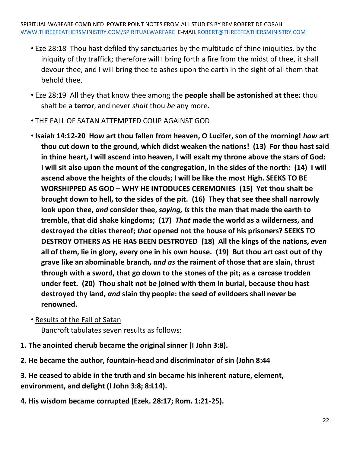- Eze 28:18 Thou hast defiled thy sanctuaries by the multitude of thine iniquities, by the iniquity of thy traffick; therefore will I bring forth a fire from the midst of thee, it shall devour thee, and I will bring thee to ashes upon the earth in the sight of all them that behold thee.
- Eze 28:19 All they that know thee among the **people shall be astonished at thee:** thou shalt be a **terror**, and never *shalt* thou *be* any more.
- THE FALL OF SATAN ATTEMPTED COUP AGAINST GOD
- **Isaiah 14:12-20 How art thou fallen from heaven, O Lucifer, son of the morning!** *how* **art thou cut down to the ground, which didst weaken the nations! (13) For thou hast said in thine heart, I will ascend into heaven, I will exalt my throne above the stars of God: I will sit also upon the mount of the congregation, in the sides of the north: (14) I will ascend above the heights of the clouds; I will be like the most High. SEEKS TO BE WORSHIPPED AS GOD – WHY HE INTODUCES CEREMONIES (15) Yet thou shalt be brought down to hell, to the sides of the pit. (16) They that see thee shall narrowly look upon thee,** *and* **consider thee,** *saying, Is* **this the man that made the earth to tremble, that did shake kingdoms; (17)** *That* **made the world as a wilderness, and destroyed the cities thereof;** *that* **opened not the house of his prisoners? SEEKS TO DESTROY OTHERS AS HE HAS BEEN DESTROYED (18) All the kings of the nations,** *even* **all of them, lie in glory, every one in his own house. (19) But thou art cast out of thy grave like an abominable branch,** *and as* **the raiment of those that are slain, thrust through with a sword, that go down to the stones of the pit; as a carcase trodden under feet. (20) Thou shalt not be joined with them in burial, because thou hast destroyed thy land,** *and* **slain thy people: the seed of evildoers shall never be renowned.**
- Results of the Fall of Satan

Bancroft tabulates seven results as follows:

- **1. The anointed cherub became the original sinner (I John 3:8).**
- **2. He became the author, fountain-head and discriminator of sin (John 8:44**

**3. He ceased to abide in the truth and sin became his inherent nature, element, environment, and delight (I John 3:8; 8:L14).**

**4. His wisdom became corrupted (Ezek. 28:17; Rom. 1:21-25).**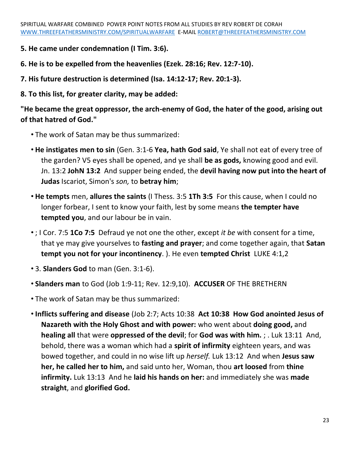- **5. He came under condemnation (I Tim. 3:6).**
- **6. He is to be expelled from the heavenlies (Ezek. 28:16; Rev. 12:7-10).**
- **7. His future destruction is determined (Isa. 14:12-17; Rev. 20:1-3).**
- **8. To this list, for greater clarity, may be added:**

**"He became the great oppressor, the arch-enemy of God, the hater of the good, arising out of that hatred of God."**

- The work of Satan may be thus summarized:
- **He instigates men to sin** (Gen. 3:1-6 **Yea, hath God said**, Ye shall not eat of every tree of the garden? V5 eyes shall be opened, and ye shall **be as gods,** knowing good and evil. Jn. 13:2 **JohN 13:2** And supper being ended, the **devil having now put into the heart of Judas** Iscariot, Simon's *son,* to **betray him**;
- **He tempts** men, **allures the saints** (I Thess. 3:5 **1Th 3:5** For this cause, when I could no longer forbear, I sent to know your faith, lest by some means **the tempter have tempted you**, and our labour be in vain.
- ; I Cor. 7:5 **1Co 7:5** Defraud ye not one the other, except *it be* with consent for a time, that ye may give yourselves to **fasting and prayer**; and come together again, that **Satan tempt you not for your incontinency**. ). He even **tempted Christ** LUKE 4:1,2
- 3. **Slanders God** to man (Gen. 3:1-6).
- **Slanders man** to God (Job 1:9-11; Rev. 12:9,10). **ACCUSER** OF THE BRETHERN
- The work of Satan may be thus summarized:
- **Inflicts suffering and disease** (Job 2:7; Acts 10:38 **Act 10:38 How God anointed Jesus of Nazareth with the Holy Ghost and with power:** who went about **doing good,** and **healing all** that were **oppressed of the devil**; for **God was with him.** ; . Luk 13:11 And, behold, there was a woman which had a **spirit of infirmity** eighteen years, and was bowed together, and could in no wise lift up *herself.* Luk 13:12 And when **Jesus saw her, he called her to him,** and said unto her, Woman, thou **art loosed** from **thine infirmity.** Luk 13:13 And he **laid his hands on her:** and immediately she was **made straight**, and **glorified God.**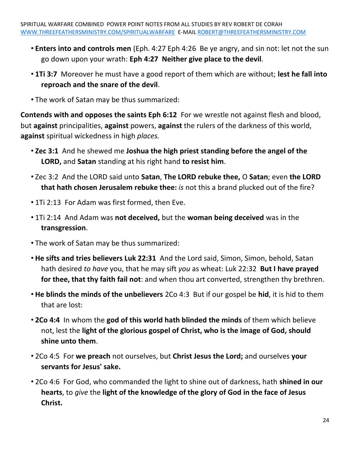- **Enters into and controls men** (Eph. 4:27 Eph 4:26 Be ye angry, and sin not: let not the sun go down upon your wrath: **Eph 4:27 Neither give place to the devil**.
- **1Ti 3:7** Moreover he must have a good report of them which are without; **lest he fall into reproach and the snare of the devil**.
- The work of Satan may be thus summarized:

**Contends with and opposes the saints Eph 6:12** For we wrestle not against flesh and blood, but **against** principalities, **against** powers, **against** the rulers of the darkness of this world, **against** spiritual wickedness in high *places.*

- **Zec 3:1** And he shewed me **Joshua the high priest standing before the angel of the LORD,** and **Satan** standing at his right hand **to resist him**.
- Zec 3:2 And the LORD said unto **Satan**, **The LORD rebuke thee,** O **Satan**; even **the LORD that hath chosen Jerusalem rebuke thee:** *is* not this a brand plucked out of the fire?
- 1Ti 2:13 For Adam was first formed, then Eve.
- 1Ti 2:14 And Adam was **not deceived,** but the **woman being deceived** was in the **transgression**.
- The work of Satan may be thus summarized:
- **He sifts and tries believers Luk 22:31** And the Lord said, Simon, Simon, behold, Satan hath desired *to have* you, that he may sift *you* as wheat: Luk 22:32 **But I have prayed for thee, that thy faith fail not**: and when thou art converted, strengthen thy brethren.
- **He blinds the minds of the unbelievers** 2Co 4:3 But if our gospel be **hid**, it is hid to them that are lost:
- **2Co 4:4** In whom the **god of this world hath blinded the minds** of them which believe not, lest the **light of the glorious gospel of Christ, who is the image of God, should shine unto them**.
- 2Co 4:5 For **we preach** not ourselves, but **Christ Jesus the Lord;** and ourselves **your servants for Jesus' sake.**
- 2Co 4:6 For God, who commanded the light to shine out of darkness, hath **shined in our hearts**, to *give* the **light of the knowledge of the glory of God in the face of Jesus Christ.**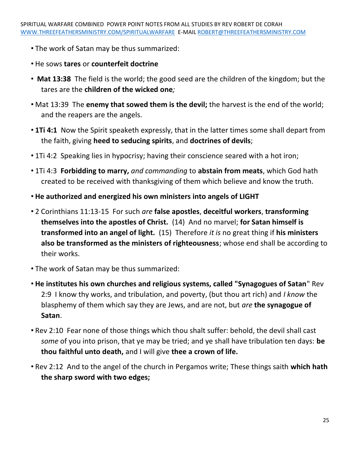- The work of Satan may be thus summarized:
- He sows **tares** or **counterfeit doctrine**
- **Mat 13:38** The field is the world; the good seed are the children of the kingdom; but the tares are the **children of the wicked one***;*
- Mat 13:39 The **enemy that sowed them is the devil;** the harvest is the end of the world; and the reapers are the angels.
- **1Ti 4:1** Now the Spirit speaketh expressly, that in the latter times some shall depart from the faith, giving **heed to seducing spirits**, and **doctrines of devils**;
- 1Ti 4:2 Speaking lies in hypocrisy; having their conscience seared with a hot iron;
- 1Ti 4:3 **Forbidding to marry,** *and commanding* to **abstain from meats**, which God hath created to be received with thanksgiving of them which believe and know the truth.
- **He authorized and energized his own ministers into angels of LIGHT**
- 2 Corinthians 11:13-15 For such *are* **false apostles**, **deceitful workers**, **transforming themselves into the apostles of Christ.** (14) And no marvel; **for Satan himself is transformed into an angel of light.** (15) Therefore *it is* no great thing if **his ministers also be transformed as the ministers of righteousness**; whose end shall be according to their works.
- The work of Satan may be thus summarized:
- **He institutes his own churches and religious systems, called "Synagogues of Satan**" Rev 2:9 I know thy works, and tribulation, and poverty, (but thou art rich) and *I know* the blasphemy of them which say they are Jews, and are not, but *are* **the synagogue of Satan**.
- Rev 2:10 Fear none of those things which thou shalt suffer: behold, the devil shall cast *some* of you into prison, that ye may be tried; and ye shall have tribulation ten days: **be thou faithful unto death,** and I will give **thee a crown of life.**
- Rev 2:12 And to the angel of the church in Pergamos write; These things saith **which hath the sharp sword with two edges;**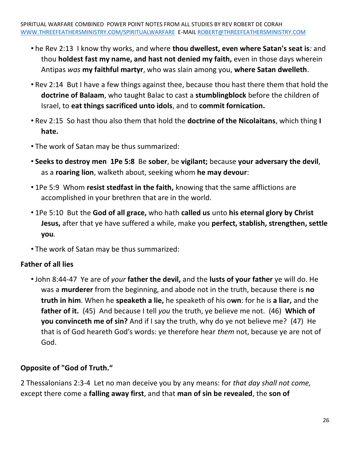- he Rev 2:13 I know thy works, and where **thou dwellest, even where Satan's seat is***:* and thou **holdest fast my name, and hast not denied my faith,** even in those days wherein Antipas *was* **my faithful martyr**, who was slain among you, **where Satan dwelleth**.
- Rev 2:14 But I have a few things against thee, because thou hast there them that hold the **doctrine of Balaam**, who taught Balac to cast a **stumblingblock** before the children of Israel, to **eat things sacrificed unto idols**, and to **commit fornication.**
- Rev 2:15 So hast thou also them that hold the **doctrine of the Nicolaitans**, which thing **I hate.**
- The work of Satan may be thus summarized:
- **Seeks to destroy men 1Pe 5:8** Be **sober**, be **vigilant;** because **your adversary the devil**, as a **roaring lion**, walketh about, seeking whom **he may devour**:
- 1Pe 5:9 Whom **resist stedfast in the faith,** knowing that the same afflictions are accomplished in your brethren that are in the world.
- 1Pe 5:10 But the **God of all grace,** who hath **called us** unto **his eternal glory by Christ Jesus,** after that ye have suffered a while, make you **perfect, stablish, strengthen, settle you***.*
- The work of Satan may be thus summarized:

## **Father of all lies**

• John 8:44-47 Ye are of *your* **father the devil,** and the **lusts of your father** ye will do. He was a **murderer** from the beginning, and abode not in the truth, because there is **no truth in him**. When he **speaketh a lie,** he speaketh of his o**wn**: for he is **a liar,** and the **father of it.** (45) And because I tell *you* the truth, ye believe me not. (46) **Which of you convinceth me of sin?** And if I say the truth, why do ye not believe me? (47) He that is of God heareth God's words: ye therefore hear *them* not, because ye are not of God.

# **Opposite of "God of Truth."**

2 Thessalonians 2:3-4 Let no man deceive you by any means: for *that day shall not come,* except there come a **falling away first**, and that **man of sin be revealed**, the **son of**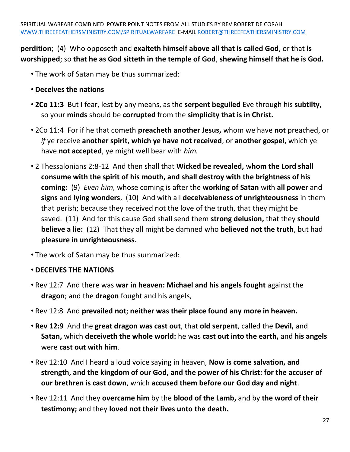**perdition**; (4) Who opposeth and **exalteth himself above all that is called God**, or that **is worshipped**; so **that he as God sitteth in the temple of God**, **shewing himself that he is God.**

- The work of Satan may be thus summarized:
- **Deceives the nations**
- **2Co 11:3** But I fear, lest by any means, as the **serpent beguiled** Eve through his **subtilty,**  so your **minds** should be **corrupted** from the **simplicity that is in Christ.**
- 2Co 11:4 For if he that cometh **preacheth another Jesus,** whom we have **not** preached, or *if* ye receive **another spirit, which ye have not received**, or **another gospel,** which ye have **not accepted**, ye might well bear with *him.*
- 2 Thessalonians 2:8-12 And then shall that **Wicked be revealed,** w**hom the Lord shall consume with the spirit of his mouth, and shall destroy with the brightness of his coming:** (9) *Even him,* whose coming is after the **working of Satan** with **all power** and **signs** and **lying wonders**, (10) And with all **deceivableness of unrighteousness** in them that perish; because they received not the love of the truth, that they might be saved. (11) And for this cause God shall send them **strong delusion,** that they **should believe a lie:** (12) That they all might be damned who **believed not the truth**, but had **pleasure in unrighteousness**.
- The work of Satan may be thus summarized:

# • **DECEIVES THE NATIONS**

- Rev 12:7 And there was **war in heaven: Michael and his angels fought** against the **dragon**; and the **dragon** fought and his angels,
- Rev 12:8 And **prevailed not**; **neither was their place found any more in heaven.**
- **Rev 12:9** And the **great dragon was cast out**, that **old serpent**, called the **Devil,** and **Satan,** which **deceiveth the whole world:** he was **cast out into the earth,** and **his angels**  were **cast out with him**.
- Rev 12:10 And I heard a loud voice saying in heaven, **Now is come salvation, and strength, and the kingdom of our God, and the power of his Christ: for the accuser of our brethren is cast down**, which **accused them before our God day and night**.
- Rev 12:11 And they **overcame him** by the **blood of the Lamb,** and by **the word of their testimony;** and they **loved not their lives unto the death.**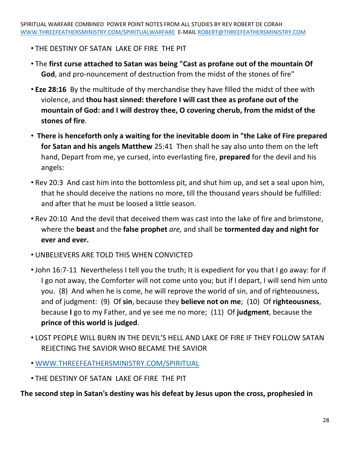- THE DESTINY OF SATAN LAKE OF FIRE THE PIT
- The **first curse attached to Satan was being "Cast as profane out of the mountain Of God**, and pro-nouncement of destruction from the midst of the stones of fire"
- **Eze 28:16** By the multitude of thy merchandise they have filled the midst of thee with violence, and **thou hast sinned: therefore I will cast thee as profane out of the mountain of God: and I will destroy thee, O covering cherub, from the midst of the stones of fire**.
- **There is henceforth only a waiting for the inevitable doom in "the Lake of Fire prepared for Satan and his angels Matthew** 25:41 Then shall he say also unto them on the left hand, Depart from me, ye cursed, into everlasting fire, **prepared** for the devil and his angels:
- Rev 20:3 And cast him into the bottomless pit, and shut him up, and set a seal upon him, that he should deceive the nations no more, till the thousand years should be fulfilled: and after that he must be loosed a little season.
- Rev 20:10 And the devil that deceived them was cast into the lake of fire and brimstone, where the **beast** and the **false prophet** *are,* and shall be **tormented day and night for ever and ever.**
- UNBELIEVERS ARE TOLD THIS WHEN CONVICTED
- John 16:7-11 Nevertheless I tell you the truth; It is expedient for you that I go away: for if I go not away, the Comforter will not come unto you; but if I depart, I will send him unto you. (8) And when he is come, he will reprove the world of sin, and of righteousness, and of judgment: (9) Of **sin**, because they **believe not on me**; (10) Of **righteousness**, because **I** go to my Father, and ye see me no more; (11) Of **judgment**, because the **prince of this world is judged**.
- LOST PEOPLE WILL BURN IN THE DEVIL'S HELL AND LAKE OF FIRE IF THEY FOLLOW SATAN REJECTING THE SAVIOR WHO BECAME THE SAVIOR
- [WWW.THREEFEATHERSMINISTRY.COM/SPIRITUAL](http://www.threefeathersministry.com/SPIRITUAL)
- THE DESTINY OF SATAN LAKE OF FIRE THE PIT

**The second step in Satan's destiny was his defeat by Jesus upon the cross, prophesied in**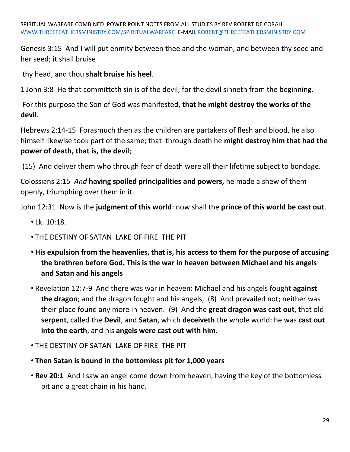Genesis 3:15 And I will put enmity between thee and the woman, and between thy seed and her seed; it shall bruise

thy head, and thou **shalt bruise his heel**.

1 John 3:8 He that committeth sin is of the devil; for the devil sinneth from the beginning.

For this purpose the Son of God was manifested, **that he might destroy the works of the devil**.

Hebrews 2:14-15 Forasmuch then as the children are partakers of flesh and blood, he also himself likewise took part of the same; that through death he **might destroy him that had the power of death, that is, the devil**;

(15) And deliver them who through fear of death were all their lifetime subject to bondage.

Colossians 2:15 *And* **having spoiled principalities and powers,** he made a shew of them openly, triumphing over them in it.

John 12:31 Now is the **judgment of this world**: now shall the **prince of this world be cast out**.

- Lk. 10:18.
- THE DESTINY OF SATAN LAKE OF FIRE THE PIT
- **His expulsion from the heavenlies, that is, his access to them for the purpose of accusing the brethren before God. This is the war in heaven between Michael and his angels and Satan and his angels**
- Revelation 12:7-9 And there was war in heaven: Michael and his angels fought **against the dragon**; and the dragon fought and his angels, (8) And prevailed not; neither was their place found any more in heaven. (9) And the **great dragon was cast out**, that old **serpent**, called the **Devil**, and **Satan**, which **deceiveth** the whole world: he was **cast out into the earth**, and his **angels were cast out with him.**
- THE DESTINY OF SATAN LAKE OF FIRE THE PIT
- **Then Satan is bound in the bottomless pit for 1,000 years**
- **Rev 20:1** And I saw an angel come down from heaven, having the key of the bottomless pit and a great chain in his hand.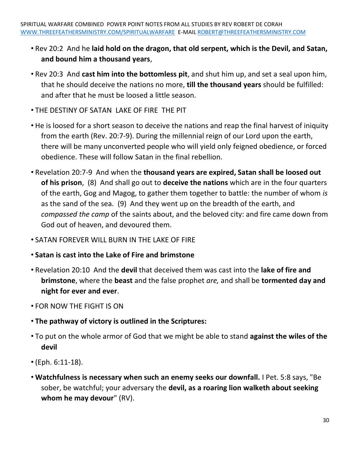- Rev 20:2 And he **laid hold on the dragon, that old serpent, which is the Devil, and Satan, and bound him a thousand years**,
- Rev 20:3 And **cast him into the bottomless pit**, and shut him up, and set a seal upon him, that he should deceive the nations no more, **till the thousand years** should be fulfilled: and after that he must be loosed a little season.
- THE DESTINY OF SATAN LAKE OF FIRE THE PIT
- He is loosed for a short season to deceive the nations and reap the final harvest of iniquity from the earth (Rev. 20:7-9). During the millennial reign of our Lord upon the earth, there will be many unconverted people who will yield only feigned obedience, or forced obedience. These will follow Satan in the final rebellion.
- Revelation 20:7-9 And when the **thousand years are expired, Satan shall be loosed out of his prison**, (8) And shall go out to **deceive the nations** which are in the four quarters of the earth, Gog and Magog, to gather them together to battle: the number of whom *is* as the sand of the sea. (9) And they went up on the breadth of the earth, and *compassed the camp* of the saints about, and the beloved city: and fire came down from God out of heaven, and devoured them.
- SATAN FOREVER WILL BURN IN THE LAKE OF FIRE
- **Satan is cast into the Lake of Fire and brimstone**
- Revelation 20:10 And the **devil** that deceived them was cast into the **lake of fire and brimstone**, where the **beast** and the false prophet *are,* and shall be **tormented day and night for ever and ever**.
- FOR NOW THE FIGHT IS ON
- **The pathway of victory is outlined in the Scriptures:**
- To put on the whole armor of God that we might be able to stand **against the wiles of the devil**
- (Eph. 6:11-18).
- **Watchfulness is necessary when such an enemy seeks our downfall.** I Pet. 5:8 says, "Be sober, be watchful; your adversary the **devil, as a roaring lion walketh about seeking whom he may devour**" (RV).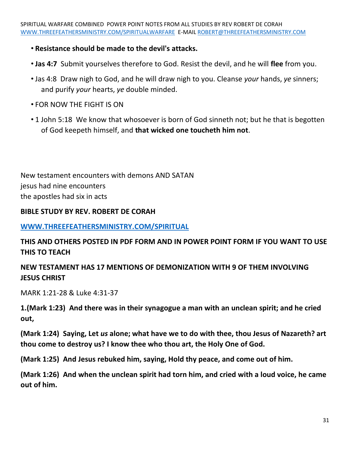# • **Resistance should be made to the devil's attacks.**

- **Jas 4:7** Submit yourselves therefore to God. Resist the devil, and he will **flee** from you.
- Jas 4:8 Draw nigh to God, and he will draw nigh to you. Cleanse *your* hands, *ye* sinners; and purify *your* hearts, *ye* double minded.
- FOR NOW THE FIGHT IS ON
- 1 John 5:18 We know that whosoever is born of God sinneth not; but he that is begotten of God keepeth himself, and **that wicked one toucheth him not**.

New testament encounters with demons AND SATAN jesus had nine encounters the apostles had six in acts

#### **BIBLE STUDY BY REV. ROBERT DE CORAH**

#### **[WWW.THREEFEATHERSMINISTRY.COM/SPIRITUAL](http://www.threefeathersministry.com/SPIRITUAL)**

# **THIS AND OTHERS POSTED IN PDF FORM AND IN POWER POINT FORM IF YOU WANT TO USE THIS TO TEACH**

# **NEW TESTAMENT HAS 17 MENTIONS OF DEMONIZATION WITH 9 OF THEM INVOLVING JESUS CHRIST**

MARK 1:21-28 & Luke 4:31-37

**1.(Mark 1:23) And there was in their synagogue a man with an unclean spirit; and he cried out,**

**(Mark 1:24) Saying, Let** *us* **alone; what have we to do with thee, thou Jesus of Nazareth? art thou come to destroy us? I know thee who thou art, the Holy One of God.**

**(Mark 1:25) And Jesus rebuked him, saying, Hold thy peace, and come out of him.**

**(Mark 1:26) And when the unclean spirit had torn him, and cried with a loud voice, he came out of him.**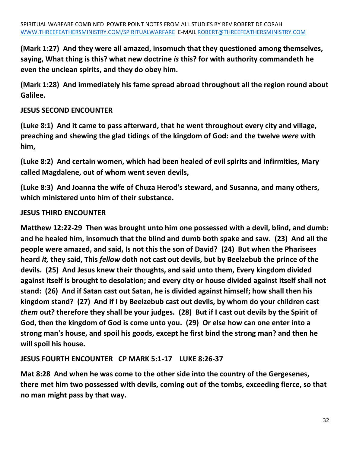**(Mark 1:27) And they were all amazed, insomuch that they questioned among themselves, saying, What thing is this? what new doctrine** *is* **this? for with authority commandeth he even the unclean spirits, and they do obey him.**

**(Mark 1:28) And immediately his fame spread abroad throughout all the region round about Galilee.**

# **JESUS SECOND ENCOUNTER**

**(Luke 8:1) And it came to pass afterward, that he went throughout every city and village, preaching and shewing the glad tidings of the kingdom of God: and the twelve** *were* **with him,**

**(Luke 8:2) And certain women, which had been healed of evil spirits and infirmities, Mary called Magdalene, out of whom went seven devils,**

**(Luke 8:3) And Joanna the wife of Chuza Herod's steward, and Susanna, and many others, which ministered unto him of their substance.**

# **JESUS THIRD ENCOUNTER**

**Matthew 12:22-29 Then was brought unto him one possessed with a devil, blind, and dumb: and he healed him, insomuch that the blind and dumb both spake and saw. (23) And all the people were amazed, and said, Is not this the son of David? (24) But when the Pharisees heard** *it,* **they said, This** *fellow* **doth not cast out devils, but by Beelzebub the prince of the devils. (25) And Jesus knew their thoughts, and said unto them, Every kingdom divided against itself is brought to desolation; and every city or house divided against itself shall not stand: (26) And if Satan cast out Satan, he is divided against himself; how shall then his kingdom stand? (27) And if I by Beelzebub cast out devils, by whom do your children cast**  *them* **out? therefore they shall be your judges. (28) But if I cast out devils by the Spirit of God, then the kingdom of God is come unto you. (29) Or else how can one enter into a strong man's house, and spoil his goods, except he first bind the strong man? and then he will spoil his house.**

# **JESUS FOURTH ENCOUNTER CP MARK 5:1-17 LUKE 8:26-37**

**Mat 8:28 And when he was come to the other side into the country of the Gergesenes, there met him two possessed with devils, coming out of the tombs, exceeding fierce, so that no man might pass by that way.**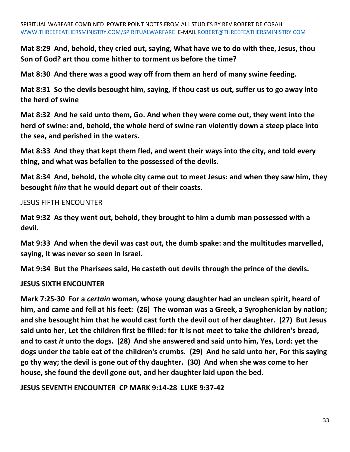**Mat 8:29 And, behold, they cried out, saying, What have we to do with thee, Jesus, thou Son of God? art thou come hither to torment us before the time?**

**Mat 8:30 And there was a good way off from them an herd of many swine feeding.**

**Mat 8:31 So the devils besought him, saying, If thou cast us out, suffer us to go away into the herd of swine**

**Mat 8:32 And he said unto them, Go. And when they were come out, they went into the herd of swine: and, behold, the whole herd of swine ran violently down a steep place into the sea, and perished in the waters.**

**Mat 8:33 And they that kept them fled, and went their ways into the city, and told every thing, and what was befallen to the possessed of the devils.**

**Mat 8:34 And, behold, the whole city came out to meet Jesus: and when they saw him, they besought** *him* **that he would depart out of their coasts.**

#### JESUS FIFTH ENCOUNTER

**Mat 9:32 As they went out, behold, they brought to him a dumb man possessed with a devil.**

**Mat 9:33 And when the devil was cast out, the dumb spake: and the multitudes marvelled, saying, It was never so seen in Israel.**

**Mat 9:34 But the Pharisees said, He casteth out devils through the prince of the devils.**

#### **JESUS SIXTH ENCOUNTER**

**Mark 7:25-30 For a** *certain* **woman, whose young daughter had an unclean spirit, heard of him, and came and fell at his feet: (26) The woman was a Greek, a Syrophenician by nation; and she besought him that he would cast forth the devil out of her daughter. (27) But Jesus said unto her, Let the children first be filled: for it is not meet to take the children's bread, and to cast** *it* **unto the dogs. (28) And she answered and said unto him, Yes, Lord: yet the dogs under the table eat of the children's crumbs. (29) And he said unto her, For this saying go thy way; the devil is gone out of thy daughter. (30) And when she was come to her house, she found the devil gone out, and her daughter laid upon the bed.**

**JESUS SEVENTH ENCOUNTER CP MARK 9:14-28 LUKE 9:37-42**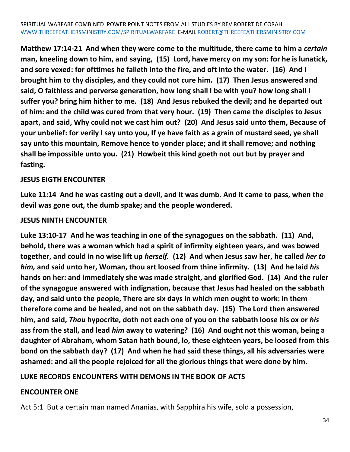**Matthew 17:14-21 And when they were come to the multitude, there came to him a** *certain* **man, kneeling down to him, and saying, (15) Lord, have mercy on my son: for he is lunatick, and sore vexed: for ofttimes he falleth into the fire, and oft into the water. (16) And I brought him to thy disciples, and they could not cure him. (17) Then Jesus answered and said, O faithless and perverse generation, how long shall I be with you? how long shall I suffer you? bring him hither to me. (18) And Jesus rebuked the devil; and he departed out of him: and the child was cured from that very hour. (19) Then came the disciples to Jesus apart, and said, Why could not we cast him out? (20) And Jesus said unto them, Because of your unbelief: for verily I say unto you, If ye have faith as a grain of mustard seed, ye shall say unto this mountain, Remove hence to yonder place; and it shall remove; and nothing shall be impossible unto you. (21) Howbeit this kind goeth not out but by prayer and fasting.**

# **JESUS EIGTH ENCOUNTER**

**Luke 11:14 And he was casting out a devil, and it was dumb. And it came to pass, when the devil was gone out, the dumb spake; and the people wondered.**

# **JESUS NINTH ENCOUNTER**

**Luke 13:10-17 And he was teaching in one of the synagogues on the sabbath. (11) And, behold, there was a woman which had a spirit of infirmity eighteen years, and was bowed together, and could in no wise lift up** *herself.* **(12) And when Jesus saw her, he called** *her to him,* **and said unto her, Woman, thou art loosed from thine infirmity. (13) And he laid** *his* **hands on her: and immediately she was made straight, and glorified God. (14) And the ruler of the synagogue answered with indignation, because that Jesus had healed on the sabbath day, and said unto the people, There are six days in which men ought to work: in them therefore come and be healed, and not on the sabbath day. (15) The Lord then answered him, and said,** *Thou* **hypocrite, doth not each one of you on the sabbath loose his ox or** *his* **ass from the stall, and lead** *him* **away to watering? (16) And ought not this woman, being a daughter of Abraham, whom Satan hath bound, lo, these eighteen years, be loosed from this bond on the sabbath day? (17) And when he had said these things, all his adversaries were ashamed: and all the people rejoiced for all the glorious things that were done by him.**

# **LUKE RECORDS ENCOUNTERS WITH DEMONS IN THE BOOK OF ACTS**

## **ENCOUNTER ONE**

Act 5:1 But a certain man named Ananias, with Sapphira his wife, sold a possession,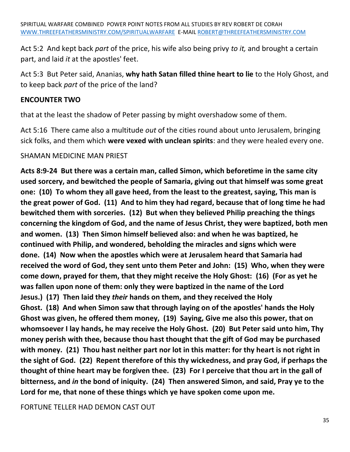Act 5:2 And kept back *part* of the price, his wife also being privy *to it,* and brought a certain part, and laid *it* at the apostles' feet.

Act 5:3 But Peter said, Ananias, **why hath Satan filled thine heart to lie** to the Holy Ghost, and to keep back *part* of the price of the land?

## **ENCOUNTER TWO**

that at the least the shadow of Peter passing by might overshadow some of them.

Act 5:16 There came also a multitude *out* of the cities round about unto Jerusalem, bringing sick folks, and them which **were vexed with unclean spirits**: and they were healed every one.

# SHAMAN MEDICINE MAN PRIEST

**Acts 8:9-24 But there was a certain man, called Simon, which beforetime in the same city used sorcery, and bewitched the people of Samaria, giving out that himself was some great one: (10) To whom they all gave heed, from the least to the greatest, saying, This man is the great power of God. (11) And to him they had regard, because that of long time he had bewitched them with sorceries. (12) But when they believed Philip preaching the things concerning the kingdom of God, and the name of Jesus Christ, they were baptized, both men and women. (13) Then Simon himself believed also: and when he was baptized, he continued with Philip, and wondered, beholding the miracles and signs which were done. (14) Now when the apostles which were at Jerusalem heard that Samaria had received the word of God, they sent unto them Peter and John: (15) Who, when they were come down, prayed for them, that they might receive the Holy Ghost: (16) (For as yet he was fallen upon none of them: only they were baptized in the name of the Lord Jesus.) (17) Then laid they** *their* **hands on them, and they received the Holy Ghost. (18) And when Simon saw that through laying on of the apostles' hands the Holy Ghost was given, he offered them money, (19) Saying, Give me also this power, that on whomsoever I lay hands, he may receive the Holy Ghost. (20) But Peter said unto him, Thy money perish with thee, because thou hast thought that the gift of God may be purchased with money. (21) Thou hast neither part nor lot in this matter: for thy heart is not right in the sight of God. (22) Repent therefore of this thy wickedness, and pray God, if perhaps the thought of thine heart may be forgiven thee. (23) For I perceive that thou art in the gall of bitterness, and** *in* **the bond of iniquity. (24) Then answered Simon, and said, Pray ye to the Lord for me, that none of these things which ye have spoken come upon me.**

FORTUNE TELLER HAD DEMON CAST OUT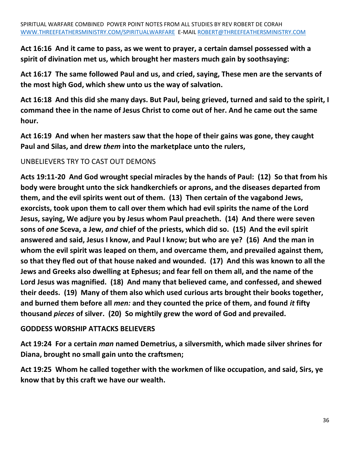**Act 16:16 And it came to pass, as we went to prayer, a certain damsel possessed with a spirit of divination met us, which brought her masters much gain by soothsaying:**

**Act 16:17 The same followed Paul and us, and cried, saying, These men are the servants of the most high God, which shew unto us the way of salvation.**

**Act 16:18 And this did she many days. But Paul, being grieved, turned and said to the spirit, I command thee in the name of Jesus Christ to come out of her. And he came out the same hour.**

**Act 16:19 And when her masters saw that the hope of their gains was gone, they caught Paul and Silas, and drew** *them* **into the marketplace unto the rulers,**

# UNBELIEVERS TRY TO CAST OUT DEMONS

**Acts 19:11-20 And God wrought special miracles by the hands of Paul: (12) So that from his body were brought unto the sick handkerchiefs or aprons, and the diseases departed from them, and the evil spirits went out of them. (13) Then certain of the vagabond Jews, exorcists, took upon them to call over them which had evil spirits the name of the Lord Jesus, saying, We adjure you by Jesus whom Paul preacheth. (14) And there were seven sons of** *one* **Sceva, a Jew,** *and* **chief of the priests, which did so. (15) And the evil spirit answered and said, Jesus I know, and Paul I know; but who are ye? (16) And the man in whom the evil spirit was leaped on them, and overcame them, and prevailed against them, so that they fled out of that house naked and wounded. (17) And this was known to all the Jews and Greeks also dwelling at Ephesus; and fear fell on them all, and the name of the Lord Jesus was magnified. (18) And many that believed came, and confessed, and shewed their deeds. (19) Many of them also which used curious arts brought their books together, and burned them before all** *men:* **and they counted the price of them, and found** *it* **fifty thousand** *pieces* **of silver. (20) So mightily grew the word of God and prevailed.**

# **GODDESS WORSHIP ATTACKS BELIEVERS**

**Act 19:24 For a certain** *man* **named Demetrius, a silversmith, which made silver shrines for Diana, brought no small gain unto the craftsmen;**

**Act 19:25 Whom he called together with the workmen of like occupation, and said, Sirs, ye know that by this craft we have our wealth.**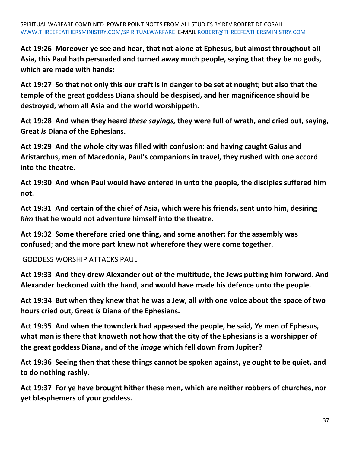**Act 19:26 Moreover ye see and hear, that not alone at Ephesus, but almost throughout all Asia, this Paul hath persuaded and turned away much people, saying that they be no gods, which are made with hands:**

**Act 19:27 So that not only this our craft is in danger to be set at nought; but also that the temple of the great goddess Diana should be despised, and her magnificence should be destroyed, whom all Asia and the world worshippeth.**

**Act 19:28 And when they heard** *these sayings,* **they were full of wrath, and cried out, saying, Great** *is* **Diana of the Ephesians.**

**Act 19:29 And the whole city was filled with confusion: and having caught Gaius and Aristarchus, men of Macedonia, Paul's companions in travel, they rushed with one accord into the theatre.**

**Act 19:30 And when Paul would have entered in unto the people, the disciples suffered him not.**

**Act 19:31 And certain of the chief of Asia, which were his friends, sent unto him, desiring**  *him* **that he would not adventure himself into the theatre.**

**Act 19:32 Some therefore cried one thing, and some another: for the assembly was confused; and the more part knew not wherefore they were come together.**

GODDESS WORSHIP ATTACKS PAUL

**Act 19:33 And they drew Alexander out of the multitude, the Jews putting him forward. And Alexander beckoned with the hand, and would have made his defence unto the people.**

**Act 19:34 But when they knew that he was a Jew, all with one voice about the space of two hours cried out, Great** *is* **Diana of the Ephesians.**

**Act 19:35 And when the townclerk had appeased the people, he said,** *Ye* **men of Ephesus, what man is there that knoweth not how that the city of the Ephesians is a worshipper of the great goddess Diana, and of the** *image* **which fell down from Jupiter?**

**Act 19:36 Seeing then that these things cannot be spoken against, ye ought to be quiet, and to do nothing rashly.**

**Act 19:37 For ye have brought hither these men, which are neither robbers of churches, nor yet blasphemers of your goddess.**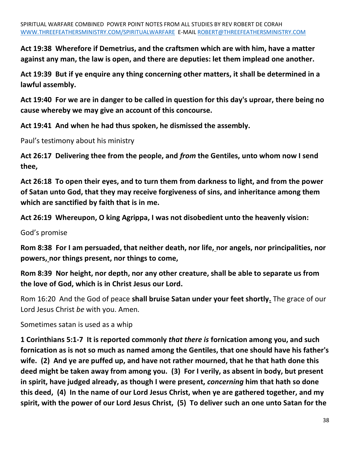**Act 19:38 Wherefore if Demetrius, and the craftsmen which are with him, have a matter against any man, the law is open, and there are deputies: let them implead one another.**

**Act 19:39 But if ye enquire any thing concerning other matters, it shall be determined in a lawful assembly.**

**Act 19:40 For we are in danger to be called in question for this day's uproar, there being no cause whereby we may give an account of this concourse.**

**Act 19:41 And when he had thus spoken, he dismissed the assembly.**

Paul's testimony about his ministry

**Act 26:17 Delivering thee from the people, and** *from* **the Gentiles, unto whom now I send thee,**

**Act 26:18 To open their eyes, and to turn them from darkness to light, and from the power of Satan unto God, that they may receive forgiveness of sins, and inheritance among them which are sanctified by faith that is in me.**

**Act 26:19 Whereupon, O king Agrippa, I was not disobedient unto the heavenly vision:**

God's promise

**Rom 8:38 For I am persuaded, that neither death, nor life, nor angels, nor principalities, nor powers, nor things present, nor things to come,**

**Rom 8:39 Nor height, nor depth, nor any other creature, shall be able to separate us from the love of God, which is in Christ Jesus our Lord.**

Rom 16:20 And the God of peace **shall bruise Satan under your feet shortly.** The grace of our Lord Jesus Christ *be* with you. Amen.

Sometimes satan is used as a whip

**1 Corinthians 5:1-7 It is reported commonly** *that there is* **fornication among you, and such fornication as is not so much as named among the Gentiles, that one should have his father's wife. (2) And ye are puffed up, and have not rather mourned, that he that hath done this deed might be taken away from among you. (3) For I verily, as absent in body, but present in spirit, have judged already, as though I were present,** *concerning* **him that hath so done this deed, (4) In the name of our Lord Jesus Christ, when ye are gathered together, and my spirit, with the power of our Lord Jesus Christ, (5) To deliver such an one unto Satan for the**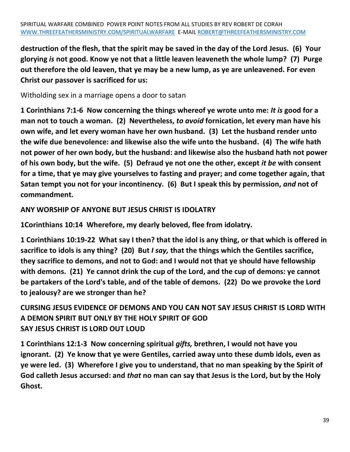**destruction of the flesh, that the spirit may be saved in the day of the Lord Jesus. (6) Your glorying** *is* **not good. Know ye not that a little leaven leaveneth the whole lump? (7) Purge out therefore the old leaven, that ye may be a new lump, as ye are unleavened. For even Christ our passover is sacrificed for us:**

Witholding sex in a marriage opens a door to satan

**1 Corinthians 7:1-6 Now concerning the things whereof ye wrote unto me:** *It is* **good for a man not to touch a woman. (2) Nevertheless,** *to avoid* **fornication, let every man have his own wife, and let every woman have her own husband. (3) Let the husband render unto the wife due benevolence: and likewise also the wife unto the husband. (4) The wife hath not power of her own body, but the husband: and likewise also the husband hath not power of his own body, but the wife. (5) Defraud ye not one the other, except** *it be* **with consent for a time, that ye may give yourselves to fasting and prayer; and come together again, that Satan tempt you not for your incontinency. (6) But I speak this by permission,** *and* **not of commandment.**

# **ANY WORSHIP OF ANYONE BUT JESUS CHRIST IS IDOLATRY**

**1Corinthians 10:14 Wherefore, my dearly beloved, flee from idolatry.**

**1 Corinthians 10:19-22 What say I then? that the idol is any thing, or that which is offered in sacrifice to idols is any thing? (20) But** *I say,* **that the things which the Gentiles sacrifice, they sacrifice to demons, and not to God: and I would not that ye should have fellowship with demons. (21) Ye cannot drink the cup of the Lord, and the cup of demons: ye cannot be partakers of the Lord's table, and of the table of demons. (22) Do we provoke the Lord to jealousy? are we stronger than he?**

# **CURSING JESUS EVIDENCE OF DEMONS AND YOU CAN NOT SAY JESUS CHRIST IS LORD WITH A DEMON SPIRIT BUT ONLY BY THE HOLY SPIRIT OF GOD SAY JESUS CHRIST IS LORD OUT LOUD**

**1 Corinthians 12:1-3 Now concerning spiritual** *gifts,* **brethren, I would not have you ignorant. (2) Ye know that ye were Gentiles, carried away unto these dumb idols, even as ye were led. (3) Wherefore I give you to understand, that no man speaking by the Spirit of God calleth Jesus accursed: and** *that* **no man can say that Jesus is the Lord, but by the Holy Ghost.**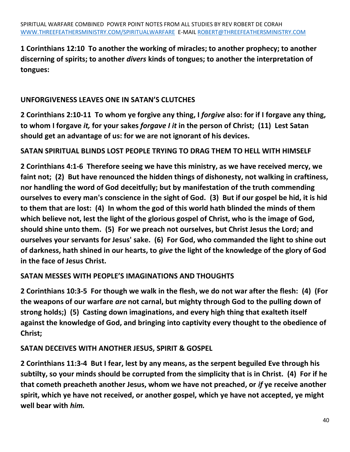**1 Corinthians 12:10 To another the working of miracles; to another prophecy; to another discerning of spirits; to another** *divers* **kinds of tongues; to another the interpretation of tongues:**

# **UNFORGIVENESS LEAVES ONE IN SATAN'S CLUTCHES**

**2 Corinthians 2:10-11 To whom ye forgive any thing, I** *forgive* **also: for if I forgave any thing, to whom I forgave** *it,* **for your sakes** *forgave I it* **in the person of Christ; (11) Lest Satan should get an advantage of us: for we are not ignorant of his devices.**

## **SATAN SPIRITUAL BLINDS LOST PEOPLE TRYING TO DRAG THEM TO HELL WITH HIMSELF**

**2 Corinthians 4:1-6 Therefore seeing we have this ministry, as we have received mercy, we faint not; (2) But have renounced the hidden things of dishonesty, not walking in craftiness, nor handling the word of God deceitfully; but by manifestation of the truth commending ourselves to every man's conscience in the sight of God. (3) But if our gospel be hid, it is hid to them that are lost: (4) In whom the god of this world hath blinded the minds of them which believe not, lest the light of the glorious gospel of Christ, who is the image of God, should shine unto them. (5) For we preach not ourselves, but Christ Jesus the Lord; and ourselves your servants for Jesus' sake. (6) For God, who commanded the light to shine out of darkness, hath shined in our hearts, to** *give* **the light of the knowledge of the glory of God in the face of Jesus Christ.**

## **SATAN MESSES WITH PEOPLE'S IMAGINATIONS AND THOUGHTS**

**2 Corinthians 10:3-5 For though we walk in the flesh, we do not war after the flesh: (4) (For the weapons of our warfare** *are* **not carnal, but mighty through God to the pulling down of strong holds;) (5) Casting down imaginations, and every high thing that exalteth itself against the knowledge of God, and bringing into captivity every thought to the obedience of Christ;**

## **SATAN DECEIVES WITH ANOTHER JESUS, SPIRIT & GOSPEL**

**2 Corinthians 11:3-4 But I fear, lest by any means, as the serpent beguiled Eve through his subtilty, so your minds should be corrupted from the simplicity that is in Christ. (4) For if he that cometh preacheth another Jesus, whom we have not preached, or** *if* **ye receive another spirit, which ye have not received, or another gospel, which ye have not accepted, ye might well bear with** *him.*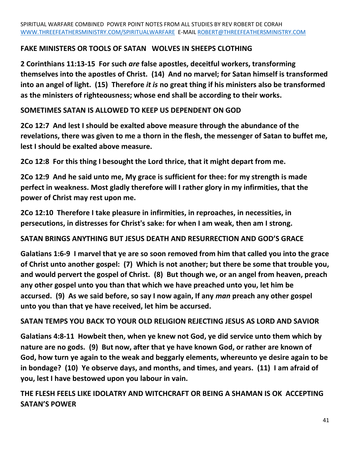# **FAKE MINISTERS OR TOOLS OF SATAN WOLVES IN SHEEPS CLOTHING**

**2 Corinthians 11:13-15 For such** *are* **false apostles, deceitful workers, transforming themselves into the apostles of Christ. (14) And no marvel; for Satan himself is transformed into an angel of light. (15) Therefore** *it is* **no great thing if his ministers also be transformed as the ministers of righteousness; whose end shall be according to their works.**

# **SOMETIMES SATAN IS ALLOWED TO KEEP US DEPENDENT ON GOD**

**2Co 12:7 And lest I should be exalted above measure through the abundance of the revelations, there was given to me a thorn in the flesh, the messenger of Satan to buffet me, lest I should be exalted above measure.**

**2Co 12:8 For this thing I besought the Lord thrice, that it might depart from me.**

**2Co 12:9 And he said unto me, My grace is sufficient for thee: for my strength is made perfect in weakness. Most gladly therefore will I rather glory in my infirmities, that the power of Christ may rest upon me.**

**2Co 12:10 Therefore I take pleasure in infirmities, in reproaches, in necessities, in persecutions, in distresses for Christ's sake: for when I am weak, then am I strong.**

# **SATAN BRINGS ANYTHING BUT JESUS DEATH AND RESURRECTION AND GOD'S GRACE**

**Galatians 1:6-9 I marvel that ye are so soon removed from him that called you into the grace of Christ unto another gospel: (7) Which is not another; but there be some that trouble you, and would pervert the gospel of Christ. (8) But though we, or an angel from heaven, preach any other gospel unto you than that which we have preached unto you, let him be accursed. (9) As we said before, so say I now again, If any** *man* **preach any other gospel unto you than that ye have received, let him be accursed.**

## **SATAN TEMPS YOU BACK TO YOUR OLD RELIGION REJECTING JESUS AS LORD AND SAVIOR**

**Galatians 4:8-11 Howbeit then, when ye knew not God, ye did service unto them which by nature are no gods. (9) But now, after that ye have known God, or rather are known of God, how turn ye again to the weak and beggarly elements, whereunto ye desire again to be in bondage? (10) Ye observe days, and months, and times, and years. (11) I am afraid of you, lest I have bestowed upon you labour in vain.**

**THE FLESH FEELS LIKE IDOLATRY AND WITCHCRAFT OR BEING A SHAMAN IS OK ACCEPTING SATAN'S POWER**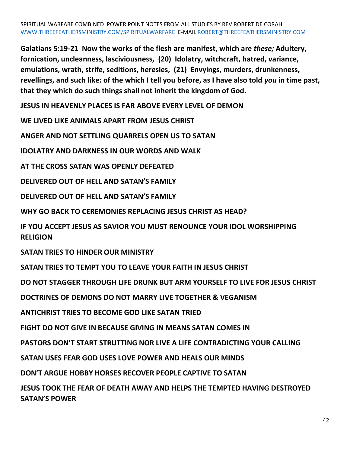**Galatians 5:19-21 Now the works of the flesh are manifest, which are** *these;* **Adultery, fornication, uncleanness, lasciviousness, (20) Idolatry, witchcraft, hatred, variance, emulations, wrath, strife, seditions, heresies, (21) Envyings, murders, drunkenness, revellings, and such like: of the which I tell you before, as I have also told** *you* **in time past, that they which do such things shall not inherit the kingdom of God.**

**JESUS IN HEAVENLY PLACES IS FAR ABOVE EVERY LEVEL OF DEMON**

**WE LIVED LIKE ANIMALS APART FROM JESUS CHRIST**

**ANGER AND NOT SETTLING QUARRELS OPEN US TO SATAN**

**IDOLATRY AND DARKNESS IN OUR WORDS AND WALK**

**AT THE CROSS SATAN WAS OPENLY DEFEATED**

**DELIVERED OUT OF HELL AND SATAN'S FAMILY**

**DELIVERED OUT OF HELL AND SATAN'S FAMILY**

**WHY GO BACK TO CEREMONIES REPLACING JESUS CHRIST AS HEAD?**

**IF YOU ACCEPT JESUS AS SAVIOR YOU MUST RENOUNCE YOUR IDOL WORSHIPPING RELIGION**

**SATAN TRIES TO HINDER OUR MINISTRY**

**SATAN TRIES TO TEMPT YOU TO LEAVE YOUR FAITH IN JESUS CHRIST**

**DO NOT STAGGER THROUGH LIFE DRUNK BUT ARM YOURSELF TO LIVE FOR JESUS CHRIST**

**DOCTRINES OF DEMONS DO NOT MARRY LIVE TOGETHER & VEGANISM**

**ANTICHRIST TRIES TO BECOME GOD LIKE SATAN TRIED**

**FIGHT DO NOT GIVE IN BECAUSE GIVING IN MEANS SATAN COMES IN**

**PASTORS DON'T START STRUTTING NOR LIVE A LIFE CONTRADICTING YOUR CALLING**

**SATAN USES FEAR GOD USES LOVE POWER AND HEALS OUR MINDS**

**DON'T ARGUE HOBBY HORSES RECOVER PEOPLE CAPTIVE TO SATAN**

**JESUS TOOK THE FEAR OF DEATH AWAY AND HELPS THE TEMPTED HAVING DESTROYED SATAN'S POWER**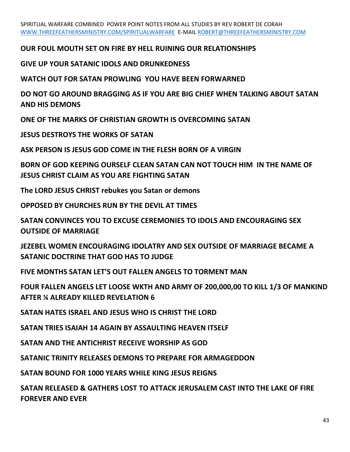SPIRITUAL WARFARE COMBINED POWER POINT NOTES FROM ALL STUDIES BY REV ROBERT DE CORAH [WWW.THREEFEATHERSMINISTRY.COM/SPIRITUALWARFARE](http://www.threefeathersministry.com/SPIRITUALWARFARE) E-MAIL [ROBERT@THREEFEATHERSMINISTRY.COM](mailto:ROBERT@THREEFEATHERSMINISTRY.COM)

#### **OUR FOUL MOUTH SET ON FIRE BY HELL RUINING OUR RELATIONSHIPS**

**GIVE UP YOUR SATANIC IDOLS AND DRUNKEDNESS**

**WATCH OUT FOR SATAN PROWLING YOU HAVE BEEN FORWARNED**

**DO NOT GO AROUND BRAGGING AS IF YOU ARE BIG CHIEF WHEN TALKING ABOUT SATAN AND HIS DEMONS**

**ONE OF THE MARKS OF CHRISTIAN GROWTH IS OVERCOMING SATAN**

**JESUS DESTROYS THE WORKS OF SATAN**

**ASK PERSON IS JESUS GOD COME IN THE FLESH BORN OF A VIRGIN**

**BORN OF GOD KEEPING OURSELF CLEAN SATAN CAN NOT TOUCH HIM IN THE NAME OF JESUS CHRIST CLAIM AS YOU ARE FIGHTING SATAN**

**The LORD JESUS CHRIST rebukes you Satan or demons**

**OPPOSED BY CHURCHES RUN BY THE DEVIL AT TIMES**

**SATAN CONVINCES YOU TO EXCUSE CEREMONIES TO IDOLS AND ENCOURAGING SEX OUTSIDE OF MARRIAGE** 

**JEZEBEL WOMEN ENCOURAGING IDOLATRY AND SEX OUTSIDE OF MARRIAGE BECAME A SATANIC DOCTRINE THAT GOD HAS TO JUDGE**

**FIVE MONTHS SATAN LET'S OUT FALLEN ANGELS TO TORMENT MAN**

**FOUR FALLEN ANGELS LET LOOSE WKTH AND ARMY OF 200,000,00 TO KILL 1/3 OF MANKIND AFTER ¼ ALREADY KILLED REVELATION 6**

**SATAN HATES ISRAEL AND JESUS WHO IS CHRIST THE LORD**

**SATAN TRIES ISAIAH 14 AGAIN BY ASSAULTING HEAVEN ITSELF**

**SATAN AND THE ANTICHRIST RECEIVE WORSHIP AS GOD**

**SATANIC TRINITY RELEASES DEMONS TO PREPARE FOR ARMAGEDDON**

**SATAN BOUND FOR 1000 YEARS WHILE KING JESUS REIGNS**

**SATAN RELEASED & GATHERS LOST TO ATTACK JERUSALEM CAST INTO THE LAKE OF FIRE FOREVER AND EVER**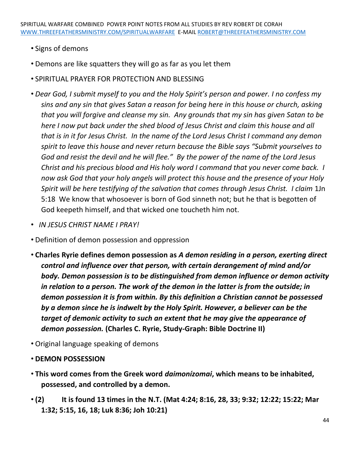- Signs of demons
- Demons are like squatters they will go as far as you let them
- SPIRITUAL PRAYER FOR PROTECTION AND BLESSING
- *Dear God, I submit myself to you and the Holy Spirit's person and power. I no confess my sins and any sin that gives Satan a reason for being here in this house or church, asking that you will forgive and cleanse my sin. Any grounds that my sin has given Satan to be here I now put back under the shed blood of Jesus Christ and claim this house and all that is in it for Jesus Christ. In the name of the Lord Jesus Christ I command any demon spirit to leave this house and never return because the Bible says "Submit yourselves to God and resist the devil and he will flee." By the power of the name of the Lord Jesus Christ and his precious blood and His holy word I command that you never come back. I now ask God that your holy angels will protect this house and the presence of your Holy Spirit will be here testifying of the salvation that comes through Jesus Christ. I claim* 1Jn 5:18 We know that whosoever is born of God sinneth not; but he that is begotten of God keepeth himself, and that wicked one toucheth him not.
- • *IN JESUS CHRIST NAME I PRAY!*
- Definition of demon possession and oppression
- **Charles Ryrie defines demon possession as** *A demon residing in a person, exerting direct control and influence over that person, with certain derangement of mind and/or body. Demon possession is to be distinguished from demon influence or demon activity in relation to a person. The work of the demon in the latter is from the outside; in demon possession it is from within. By this definition a Christian cannot be possessed by a demon since he is indwelt by the Holy Spirit. However, a believer can be the target of demonic activity to such an extent that he may give the appearance of demon possession.* **(Charles C. Ryrie, Study-Graph: Bible Doctrine II)**
- Original language speaking of demons
- **DEMON POSSESSION**
- **This word comes from the Greek word** *daimonízomai***, which means to be inhabited, possessed, and controlled by a demon.**
- **(2) It is found 13 times in the N.T. (Mat 4:24; 8:16, 28, 33; 9:32; 12:22; 15:22; Mar 1:32; 5:15, 16, 18; Luk 8:36; Joh 10:21)**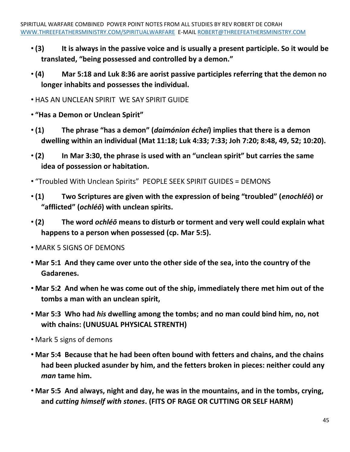- **(3) It is always in the passive voice and is usually a present participle. So it would be translated, "being possessed and controlled by a demon."**
- **(4) Mar 5:18 and Luk 8:36 are aorist passive participles referring that the demon no longer inhabits and possesses the individual.**
- HAS AN UNCLEAN SPIRIT WE SAY SPIRIT GUIDE
- **"Has a Demon or Unclean Spirit"**
- **(1) The phrase "has a demon" (***daimónion échei***) implies that there is a demon dwelling within an individual (Mat 11:18; Luk 4:33; 7:33; Joh 7:20; 8:48, 49, 52; 10:20).**
- **(2) In Mar 3:30, the phrase is used with an "unclean spirit" but carries the same idea of possession or habitation.**
- "Troubled With Unclean Spirits" PEOPLE SEEK SPIRIT GUIDES = DEMONS
- **(1) Two Scriptures are given with the expression of being "troubled" (***enochléō***) or "afflicted" (***ochléō***) with unclean spirits.**
- **(2) The word** *ochléō* **means to disturb or torment and very well could explain what happens to a person when possessed (cp. Mar 5:5).**
- MARK 5 SIGNS OF DEMONS
- **Mar 5:1 And they came over unto the other side of the sea, into the country of the Gadarenes.**
- **Mar 5:2 And when he was come out of the ship, immediately there met him out of the tombs a man with an unclean spirit,**
- **Mar 5:3 Who had** *his* **dwelling among the tombs; and no man could bind him, no, not with chains: (UNUSUAL PHYSICAL STRENTH)**
- Mark 5 signs of demons
- **Mar 5:4 Because that he had been often bound with fetters and chains, and the chains had been plucked asunder by him, and the fetters broken in pieces: neither could any**  *man* **tame him.**
- **Mar 5:5 And always, night and day, he was in the mountains, and in the tombs, crying, and** *cutting himself with stones***. (FITS OF RAGE OR CUTTING OR SELF HARM)**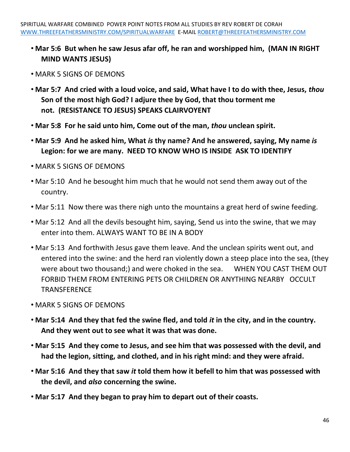- **Mar 5:6 But when he saw Jesus afar off, he ran and worshipped him, (MAN IN RIGHT MIND WANTS JESUS)**
- MARK 5 SIGNS OF DEMONS
- **Mar 5:7 And cried with a loud voice, and said, What have I to do with thee, Jesus,** *thou* **Son of the most high God? I adjure thee by God, that thou torment me not. (RESISTANCE TO JESUS) SPEAKS CLAIRVOYENT**
- **Mar 5:8 For he said unto him, Come out of the man,** *thou* **unclean spirit.**
- **Mar 5:9 And he asked him, What** *is* **thy name? And he answered, saying, My name** *is* **Legion: for we are many. NEED TO KNOW WHO IS INSIDE ASK TO IDENTIFY**
- MARK 5 SIGNS OF DEMONS
- Mar 5:10 And he besought him much that he would not send them away out of the country.
- Mar 5:11 Now there was there nigh unto the mountains a great herd of swine feeding.
- Mar 5:12 And all the devils besought him, saying, Send us into the swine, that we may enter into them. ALWAYS WANT TO BE IN A BODY
- Mar 5:13 And forthwith Jesus gave them leave. And the unclean spirits went out, and entered into the swine: and the herd ran violently down a steep place into the sea, (they were about two thousand;) and were choked in the sea. WHEN YOU CAST THEM OUT FORBID THEM FROM ENTERING PETS OR CHILDREN OR ANYTHING NEARBY OCCULT **TRANSFERENCE**
- MARK 5 SIGNS OF DEMONS
- **Mar 5:14 And they that fed the swine fled, and told** *it* **in the city, and in the country. And they went out to see what it was that was done.**
- **Mar 5:15 And they come to Jesus, and see him that was possessed with the devil, and had the legion, sitting, and clothed, and in his right mind: and they were afraid.**
- **Mar 5:16 And they that saw** *it* **told them how it befell to him that was possessed with the devil, and** *also* **concerning the swine.**
- **Mar 5:17 And they began to pray him to depart out of their coasts.**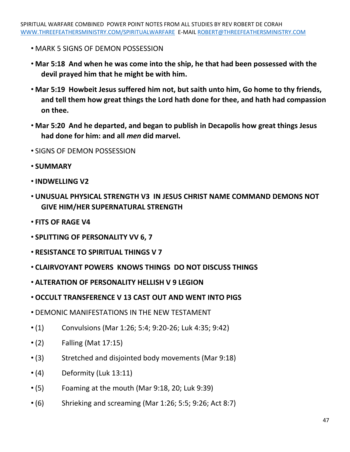- MARK 5 SIGNS OF DEMON POSSESSION
- **Mar 5:18 And when he was come into the ship, he that had been possessed with the devil prayed him that he might be with him.**
- **Mar 5:19 Howbeit Jesus suffered him not, but saith unto him, Go home to thy friends, and tell them how great things the Lord hath done for thee, and hath had compassion on thee.**
- **Mar 5:20 And he departed, and began to publish in Decapolis how great things Jesus had done for him: and all** *men* **did marvel.**
- SIGNS OF DEMON POSSESSION
- **SUMMARY**
- **INDWELLING V2**
- **UNUSUAL PHYSICAL STRENGTH V3 IN JESUS CHRIST NAME COMMAND DEMONS NOT GIVE HIM/HER SUPERNATURAL STRENGTH**
- **FITS OF RAGE V4**
- **SPLITTING OF PERSONALITY VV 6, 7**
- **RESISTANCE TO SPIRITUAL THINGS V 7**
- **CLAIRVOYANT POWERS KNOWS THINGS DO NOT DISCUSS THINGS**
- **ALTERATION OF PERSONALITY HELLISH V 9 LEGION**
- **OCCULT TRANSFERENCE V 13 CAST OUT AND WENT INTO PIGS**
- DEMONIC MANIFESTATIONS IN THE NEW TESTAMENT
- (1) Convulsions (Mar 1:26; 5:4; 9:20-26; Luk 4:35; 9:42)
- (2) Falling (Mat 17:15)
- (3) Stretched and disjointed body movements (Mar 9:18)
- (4) Deformity (Luk 13:11)
- (5) Foaming at the mouth (Mar 9:18, 20; Luk 9:39)
- (6) Shrieking and screaming (Mar 1:26; 5:5; 9:26; Act 8:7)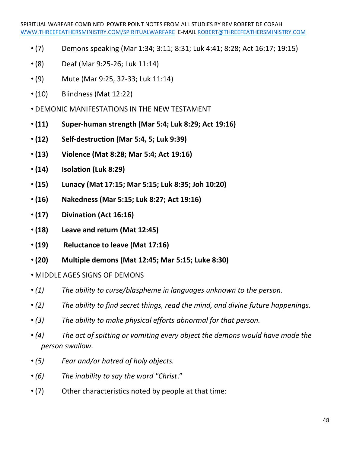SPIRITUAL WARFARE COMBINED POWER POINT NOTES FROM ALL STUDIES BY REV ROBERT DE CORAH [WWW.THREEFEATHERSMINISTRY.COM/SPIRITUALWARFARE](http://www.threefeathersministry.com/SPIRITUALWARFARE) E-MAIL [ROBERT@THREEFEATHERSMINISTRY.COM](mailto:ROBERT@THREEFEATHERSMINISTRY.COM)

- (7) Demons speaking (Mar 1:34; 3:11; 8:31; Luk 4:41; 8:28; Act 16:17; 19:15)
- (8) Deaf (Mar 9:25-26; Luk 11:14)
- (9) Mute (Mar 9:25, 32-33; Luk 11:14)
- (10) Blindness (Mat 12:22)
- DEMONIC MANIFESTATIONS IN THE NEW TESTAMENT
- **(11) Super-human strength (Mar 5:4; Luk 8:29; Act 19:16)**
- **(12) Self-destruction (Mar 5:4, 5; Luk 9:39)**
- **(13) Violence (Mat 8:28; Mar 5:4; Act 19:16)**
- **(14) Isolation (Luk 8:29)**
- **(15) Lunacy (Mat 17:15; Mar 5:15; Luk 8:35; Joh 10:20)**
- **(16) Nakedness (Mar 5:15; Luk 8:27; Act 19:16)**
- **(17) Divination (Act 16:16)**
- **(18) Leave and return (Mat 12:45)**
- **(19) Reluctance to leave (Mat 17:16)**
- **(20) Multiple demons (Mat 12:45; Mar 5:15; Luke 8:30)**
- MIDDLE AGES SIGNS OF DEMONS
- *(1) The ability to curse/blaspheme in languages unknown to the person.*
- *(2) The ability to find secret things, read the mind, and divine future happenings.*
- *(3) The ability to make physical efforts abnormal for that person.*
- *(4) The act of spitting or vomiting every object the demons would have made the person swallow.*
- *(5) Fear and/or hatred of holy objects.*
- *(6) The inability to say the word "Christ*."
- (7) Other characteristics noted by people at that time: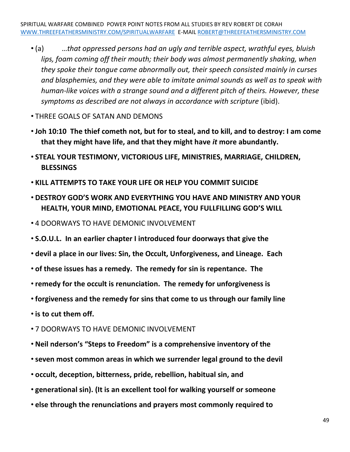- (a) …*that oppressed persons had an ugly and terrible aspect, wrathful eyes, bluish*  lips, foam coming off their mouth; their body was almost permanently shaking, when *they spoke their tongue came abnormally out, their speech consisted mainly in curses and blasphemies, and they were able to imitate animal sounds as well as to speak with human-like voices with a strange sound and a different pitch of theirs. However, these symptoms as described are not always in accordance with scripture* (ibid).
- THREE GOALS OF SATAN AND DEMONS
- **Joh 10:10 The thief cometh not, but for to steal, and to kill, and to destroy: I am come that they might have life, and that they might have** *it* **more abundantly.**
- **STEAL YOUR TESTIMONY, VICTORIOUS LIFE, MINISTRIES, MARRIAGE, CHILDREN, BLESSINGS**
- **KILL ATTEMPTS TO TAKE YOUR LIFE OR HELP YOU COMMIT SUICIDE**
- **DESTROY GOD'S WORK AND EVERYTHING YOU HAVE AND MINISTRY AND YOUR HEALTH, YOUR MIND, EMOTIONAL PEACE, YOU FULLFILLING GOD'S WILL**
- 4 DOORWAYS TO HAVE DEMONIC INVOLVEMENT
- **S.O.U.L. In an earlier chapter I introduced four doorways that give the**
- **devil a place in our lives: Sin, the Occult, Unforgiveness, and Lineage. Each**
- **of these issues has a remedy. The remedy for sin is repentance. The**
- **remedy for the occult is renunciation. The remedy for unforgiveness is**
- **forgiveness and the remedy for sins that come to us through our family line**
- **is to cut them off.**
- 7 DOORWAYS TO HAVE DEMONIC INVOLVEMENT
- **Neil nderson's "Steps to Freedom" is a comprehensive inventory of the**
- •**seven most common areas in which we surrender legal ground to the devil**
- **occult, deception, bitterness, pride, rebellion, habitual sin, and**
- **generational sin). (It is an excellent tool for walking yourself or someone**
- **else through the renunciations and prayers most commonly required to**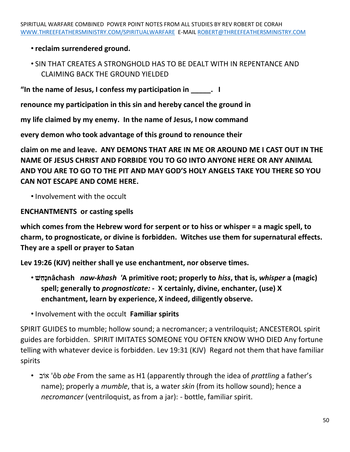- **reclaim surrendered ground.**
- SIN THAT CREATES A STRONGHOLD HAS TO BE DEALT WITH IN REPENTANCE AND CLAIMING BACK THE GROUND YIELDED

**"In the name of Jesus, I confess my participation in \_\_\_\_\_. I** 

**renounce my participation in this sin and hereby cancel the ground in** 

**my life claimed by my enemy. In the name of Jesus, I now command** 

**every demon who took advantage of this ground to renounce their** 

**claim on me and leave. ANY DEMONS THAT ARE IN ME OR AROUND ME I CAST OUT IN THE NAME OF JESUS CHRIST AND FORBIDE YOU TO GO INTO ANYONE HERE OR ANY ANIMAL AND YOU ARE TO GO TO THE PIT AND MAY GOD'S HOLY ANGELS TAKE YOU THERE SO YOU CAN NOT ESCAPE AND COME HERE.**

• Involvement with the occult

**ENCHANTMENTS or casting spells**

**which comes from the Hebrew word for serpent or to hiss or whisper = a magic spell, to charm, to prognosticate, or divine is forbidden. Witches use them for supernatural effects. They are a spell or prayer to Satan**

**Lev 19:26 (KJV) neither shall ye use enchantment, nor observe times.**

- **שׁ ַחָנnâchash** *naw-khash '***A primitive root; properly to** *hiss***, that is,** *whisper* **a (magic) spell; generally to** *prognosticate: -* **X certainly, divine, enchanter, (use) X enchantment, learn by experience, X indeed, diligently observe.**
- Involvement with the occult **Familiar spirits**

SPIRIT GUIDES to mumble; hollow sound; a necromancer; a ventriloquist; ANCESTEROL spirit guides are forbidden. SPIRIT IMITATES SOMEONE YOU OFTEN KNOW WHO DIED Any fortune telling with whatever device is forbidden. Lev 19:31 (KJV) Regard not them that have familiar spirits

• ובֹא' ôb *obe* From the same as H1 (apparently through the idea of *prattling* a father's name); properly a *mumble*, that is, a water *skin* (from its hollow sound); hence a *necromancer* (ventriloquist, as from a jar): - bottle, familiar spirit.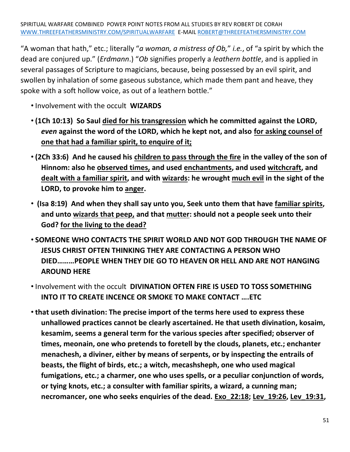"A woman that hath," etc.; literally "*a woman, a mistress of Ob,*" *i.e.*, of "a spirit by which the dead are conjured up." (*Erdmann*.) "*Ob* signifies properly a *leathern bottle*, and is applied in several passages of Scripture to magicians, because, being possessed by an evil spirit, and swollen by inhalation of some gaseous substance, which made them pant and heave, they spoke with a soft hollow voice, as out of a leathern bottle."

- Involvement with the occult **WIZARDS**
- **(1Ch 10:13) So Saul died for his transgression which he committed against the LORD,**  *even* **against the word of the LORD, which he kept not, and also for asking counsel of one that had a familiar spirit, to enquire of it;**
- **(2Ch 33:6) And he caused his children to pass through the fire in the valley of the son of Hinnom: also he observed times, and used enchantments, and used witchcraft, and dealt with a familiar spirit, and with wizards: he wrought much evil in the sight of the LORD, to provoke him to anger.**
- **(Isa 8:19) And when they shall say unto you, Seek unto them that have familiar spirits, and unto wizards that peep, and that mutter: should not a people seek unto their God? for the living to the dead?**
- **SOMEONE WHO CONTACTS THE SPIRIT WORLD AND NOT GOD THROUGH THE NAME OF JESUS CHRIST OFTEN THINKING THEY ARE CONTACTING A PERSON WHO DIED………PEOPLE WHEN THEY DIE GO TO HEAVEN OR HELL AND ARE NOT HANGING AROUND HERE**
- Involvement with the occult **DIVINATION OFTEN FIRE IS USED TO TOSS SOMETHING INTO IT TO CREATE INCENCE OR SMOKE TO MAKE CONTACT ….ETC**
- **that useth divination: The precise import of the terms here used to express these unhallowed practices cannot be clearly ascertained. He that useth divination, kosaim, kesamim, seems a general term for the various species after specified; observer of times, meonain, one who pretends to foretell by the clouds, planets, etc.; enchanter menachesh, a diviner, either by means of serpents, or by inspecting the entrails of beasts, the flight of birds, etc.; a witch, mecashsheph, one who used magical fumigations, etc.; a charmer, one who uses spells, or a peculiar conjunction of words, or tying knots, etc.; a consulter with familiar spirits, a wizard, a cunning man; necromancer, one who seeks enquiries of the dead. Exo\_22:18; Lev\_19:26, Lev\_19:31,**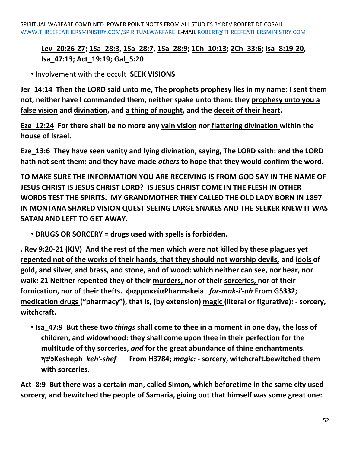# **Lev\_20:26-27; 1Sa\_28:3, 1Sa\_28:7, 1Sa\_28:9; 1Ch\_10:13; 2Ch\_33:6; Isa\_8:19-20, Isa\_47:13; Act\_19:19; Gal\_5:20**

• Involvement with the occult **SEEK VISIONS**

**Jer\_14:14 Then the LORD said unto me, The prophets prophesy lies in my name: I sent them not, neither have I commanded them, neither spake unto them: they prophesy unto you a false vision and divination, and a thing of nought, and the deceit of their heart.**

**Eze\_12:24 For there shall be no more any vain vision nor flattering divination within the house of Israel.**

**Eze\_13:6 They have seen vanity and lying divination, saying, The LORD saith: and the LORD hath not sent them: and they have made** *others* **to hope that they would confirm the word.**

**TO MAKE SURE THE INFORMATION YOU ARE RECEIVING IS FROM GOD SAY IN THE NAME OF JESUS CHRIST IS JESUS CHRIST LORD? IS JESUS CHRIST COME IN THE FLESH IN OTHER WORDS TEST THE SPIRITS. MY GRANDMOTHER THEY CALLED THE OLD LADY BORN IN 1897 IN MONTANA SHARED VISION QUEST SEEING LARGE SNAKES AND THE SEEKER KNEW IT WAS SATAN AND LEFT TO GET AWAY.**

• **DRUGS OR SORCERY = drugs used with spells is forbidden.**

**. Rev 9:20-21 (KJV) And the rest of the men which were not killed by these plagues yet repented not of the works of their hands, that they should not worship devils, and idols of gold, and silver, and brass, and stone, and of wood: which neither can see, nor hear, nor walk: 21 Neither repented they of their murders, nor of their sorceries, nor of their fornication, nor of their thefts. φαρμακείαPharmakeia** *far-mak-i'-ah* **From G5332; medication drugs ("pharmacy"), that is, (by extension) magic (literal or figurative): - sorcery, witchcraft.**

• **Isa\_47:9 But these two** *things* **shall come to thee in a moment in one day, the loss of children, and widowhood: they shall come upon thee in their perfection for the multitude of thy sorceries,** *and* **for the great abundance of thine enchantments. ף ֶּשׁ ֶּכKesheph** *keh'-shef* **From H3784;** *magic: -* **sorcery, witchcraft.bewitched them with sorceries.**

**Act\_8:9 But there was a certain man, called Simon, which beforetime in the same city used sorcery, and bewitched the people of Samaria, giving out that himself was some great one:**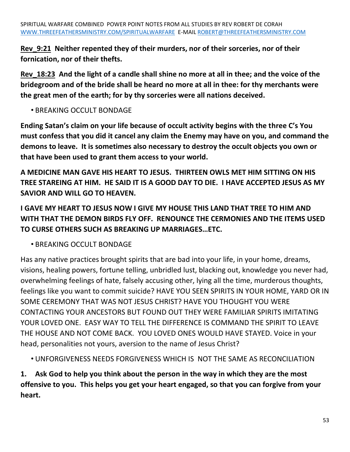**Rev\_9:21 Neither repented they of their murders, nor of their sorceries, nor of their fornication, nor of their thefts.**

**Rev\_18:23 And the light of a candle shall shine no more at all in thee; and the voice of the bridegroom and of the bride shall be heard no more at all in thee: for thy merchants were the great men of the earth; for by thy sorceries were all nations deceived.**

• BREAKING OCCULT BONDAGE

**Ending Satan's claim on your life because of occult activity begins with the three C's You must confess that you did it cancel any claim the Enemy may have on you, and command the demons to leave. It is sometimes also necessary to destroy the occult objects you own or that have been used to grant them access to your world.** 

**A MEDICINE MAN GAVE HIS HEART TO JESUS. THIRTEEN OWLS MET HIM SITTING ON HIS TREE STAREING AT HIM. HE SAID IT IS A GOOD DAY TO DIE. I HAVE ACCEPTED JESUS AS MY SAVIOR AND WILL GO TO HEAVEN.**

**I GAVE MY HEART TO JESUS NOW I GIVE MY HOUSE THIS LAND THAT TREE TO HIM AND WITH THAT THE DEMON BIRDS FLY OFF. RENOUNCE THE CERMONIES AND THE ITEMS USED TO CURSE OTHERS SUCH AS BREAKING UP MARRIAGES…ETC.**

• BREAKING OCCULT BONDAGE

Has any native practices brought spirits that are bad into your life, in your home, dreams, visions, healing powers, fortune telling, unbridled lust, blacking out, knowledge you never had, overwhelming feelings of hate, falsely accusing other, lying all the time, murderous thoughts, feelings like you want to commit suicide? HAVE YOU SEEN SPIRITS IN YOUR HOME, YARD OR IN SOME CEREMONY THAT WAS NOT JESUS CHRIST? HAVE YOU THOUGHT YOU WERE CONTACTING YOUR ANCESTORS BUT FOUND OUT THEY WERE FAMILIAR SPIRITS IMITATING YOUR LOVED ONE. EASY WAY TO TELL THE DIFFERENCE IS COMMAND THE SPIRIT TO LEAVE THE HOUSE AND NOT COME BACK. YOU LOVED ONES WOULD HAVE STAYED. Voice in your head, personalities not yours, aversion to the name of Jesus Christ?

• UNFORGIVENESS NEEDS FORGIVENESS WHICH IS NOT THE SAME AS RECONCILIATION

**1. Ask God to help you think about the person in the way in which they are the most offensive to you. This helps you get your heart engaged, so that you can forgive from your heart.**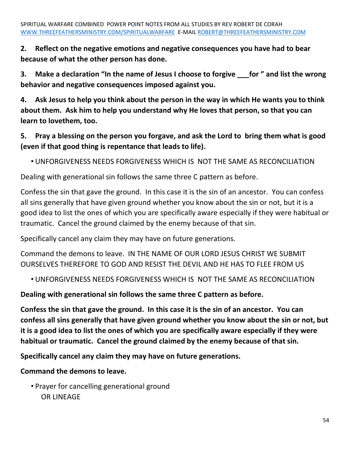**2. Reflect on the negative emotions and negative consequences you have had to bear because of what the other person has done.**

**3. Make a declaration "In the name of Jesus I choose to forgive \_\_\_for " and list the wrong behavior and negative consequences imposed against you.** 

**4. Ask Jesus to help you think about the person in the way in which He wants you to think about them. Ask him to help you understand why He loves that person, so that you can learn to lovethem, too.** 

# **5. Pray a blessing on the person you forgave, and ask the Lord to bring them what is good (even if that good thing is repentance that leads to life).**

• UNFORGIVENESS NEEDS FORGIVENESS WHICH IS NOT THE SAME AS RECONCILIATION

Dealing with generational sin follows the same three C pattern as before.

Confess the sin that gave the ground. In this case it is the sin of an ancestor. You can confess all sins generally that have given ground whether you know about the sin or not, but it is a good idea to list the ones of which you are specifically aware especially if they were habitual or traumatic. Cancel the ground claimed by the enemy because of that sin.

Specifically cancel any claim they may have on future generations.

Command the demons to leave. IN THE NAME OF OUR LORD JESUS CHRIST WE SUBMIT OURSELVES THEREFORE TO GOD AND RESIST THE DEVIL AND HE HAS TO FLEE FROM US

# • UNFORGIVENESS NEEDS FORGIVENESS WHICH IS NOT THE SAME AS RECONCILIATION

# **Dealing with generational sin follows the same three C pattern as before.**

**Confess the sin that gave the ground. In this case it is the sin of an ancestor. You can confess all sins generally that have given ground whether you know about the sin or not, but it is a good idea to list the ones of which you are specifically aware especially if they were habitual or traumatic. Cancel the ground claimed by the enemy because of that sin.** 

**Specifically cancel any claim they may have on future generations.** 

**Command the demons to leave.** 

• Prayer for cancelling generational ground OR LINEAGE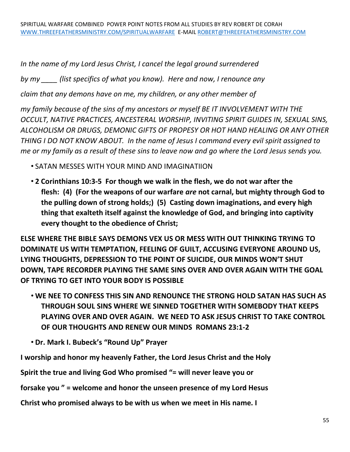*In the name of my Lord Jesus Christ, I cancel the legal ground surrendered*

*by my \_\_\_\_ (list specifics of what you know). Here and now, I renounce any*

*claim that any demons have on me, my children, or any other member of*

*my family because of the sins of my ancestors or myself BE IT INVOLVEMENT WITH THE OCCULT, NATIVE PRACTICES, ANCESTERAL WORSHIP, INVITING SPIRIT GUIDES IN, SEXUAL SINS, ALCOHOLISM OR DRUGS, DEMONIC GIFTS OF PROPESY OR HOT HAND HEALING OR ANY OTHER THING I DO NOT KNOW ABOUT. In the name of Jesus I command every evil spirit assigned to me or my family as a result of these sins to leave now and go where the Lord Jesus sends you.* 

- SATAN MESSES WITH YOUR MIND AND IMAGINATIION
- **2 Corinthians 10:3-5 For though we walk in the flesh, we do not war after the flesh: (4) (For the weapons of our warfare** *are* **not carnal, but mighty through God to the pulling down of strong holds;) (5) Casting down imaginations, and every high thing that exalteth itself against the knowledge of God, and bringing into captivity every thought to the obedience of Christ;**

**ELSE WHERE THE BIBLE SAYS DEMONS VEX US OR MESS WITH OUT THINKING TRYING TO DOMINATE US WITH TEMPTATION, FEELING OF GUILT, ACCUSING EVERYONE AROUND US, LYING THOUGHTS, DEPRESSION TO THE POINT OF SUICIDE, OUR MINDS WON'T SHUT DOWN, TAPE RECORDER PLAYING THE SAME SINS OVER AND OVER AGAIN WITH THE GOAL OF TRYING TO GET INTO YOUR BODY IS POSSIBLE**

- **WE NEE TO CONFESS THIS SIN AND RENOUNCE THE STRONG HOLD SATAN HAS SUCH AS THROUGH SOUL SINS WHERE WE SINNED TOGETHER WITH SOMEBODY THAT KEEPS PLAYING OVER AND OVER AGAIN. WE NEED TO ASK JESUS CHRIST TO TAKE CONTROL OF OUR THOUGHTS AND RENEW OUR MINDS ROMANS 23:1-2**
- **Dr. Mark I. Bubeck's "Round Up" Prayer**

**I worship and honor my heavenly Father, the Lord Jesus Christ and the Holy** 

**Spirit the true and living God Who promised "= will never leave you or**

**forsake you " = welcome and honor the unseen presence of my Lord Hesus**

**Christ who promised always to be with us when we meet in His name. I**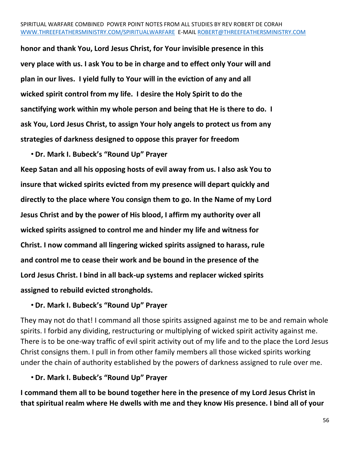**honor and thank You, Lord Jesus Christ, for Your invisible presence in this very place with us. I ask You to be in charge and to effect only Your will and plan in our lives. I yield fully to Your will in the eviction of any and all wicked spirit control from my life. I desire the Holy Spirit to do the sanctifying work within my whole person and being that He is there to do. I ask You, Lord Jesus Christ, to assign Your holy angels to protect us from any strategies of darkness designed to oppose this prayer for freedom**

• **Dr. Mark I. Bubeck's "Round Up" Prayer**

**Keep Satan and all his opposing hosts of evil away from us. I also ask You to insure that wicked spirits evicted from my presence will depart quickly and directly to the place where You consign them to go. In the Name of my Lord Jesus Christ and by the power of His blood, I affirm my authority over all wicked spirits assigned to control me and hinder my life and witness for Christ. I now command all lingering wicked spirits assigned to harass, rule and control me to cease their work and be bound in the presence of the Lord Jesus Christ. I bind in all back-up systems and replacer wicked spirits assigned to rebuild evicted strongholds.**

#### • **Dr. Mark I. Bubeck's "Round Up" Prayer**

They may not do that! I command all those spirits assigned against me to be and remain whole spirits. I forbid any dividing, restructuring or multiplying of wicked spirit activity against me. There is to be one-way traffic of evil spirit activity out of my life and to the place the Lord Jesus Christ consigns them. I pull in from other family members all those wicked spirits working under the chain of authority established by the powers of darkness assigned to rule over me.

## • **Dr. Mark I. Bubeck's "Round Up" Prayer**

**I command them all to be bound together here in the presence of my Lord Jesus Christ in that spiritual realm where He dwells with me and they know His presence. I bind all of your**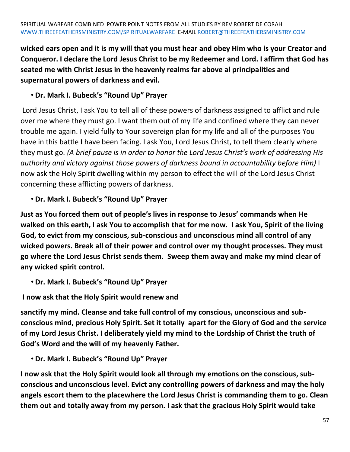**wicked ears open and it is my will that you must hear and obey Him who is your Creator and Conqueror. I declare the Lord Jesus Christ to be my Redeemer and Lord. I affirm that God has seated me with Christ Jesus in the heavenly realms far above al principalities and supernatural powers of darkness and evil.**

# • **Dr. Mark I. Bubeck's "Round Up" Prayer**

Lord Jesus Christ, I ask You to tell all of these powers of darkness assigned to afflict and rule over me where they must go. I want them out of my life and confined where they can never trouble me again. I yield fully to Your sovereign plan for my life and all of the purposes You have in this battle I have been facing. I ask You, Lord Jesus Christ, to tell them clearly where they must go. *(A brief pause is in order to honor the Lord Jesus Christ's work of addressing His authority and victory against those powers of darkness bound in accountability before Him)* I now ask the Holy Spirit dwelling within my person to effect the will of the Lord Jesus Christ concerning these afflicting powers of darkness.

# • **Dr. Mark I. Bubeck's "Round Up" Prayer**

**Just as You forced them out of people's lives in response to Jesus' commands when He walked on this earth, I ask You to accomplish that for me now. I ask You, Spirit of the living God, to evict from my conscious, sub-conscious and unconscious mind all control of any wicked powers. Break all of their power and control over my thought processes. They must go where the Lord Jesus Christ sends them. Sweep them away and make my mind clear of any wicked spirit control.**

• **Dr. Mark I. Bubeck's "Round Up" Prayer**

**I now ask that the Holy Spirit would renew and** 

**sanctify my mind. Cleanse and take full control of my conscious, unconscious and subconscious mind, precious Holy Spirit. Set it totally apart for the Glory of God and the service of my Lord Jesus Christ. I deliberately yield my mind to the Lordship of Christ the truth of God's Word and the will of my heavenly Father.** 

• **Dr. Mark I. Bubeck's "Round Up" Prayer**

**I now ask that the Holy Spirit would look all through my emotions on the conscious, subconscious and unconscious level. Evict any controlling powers of darkness and may the holy angels escort them to the placewhere the Lord Jesus Christ is commanding them to go. Clean them out and totally away from my person. I ask that the gracious Holy Spirit would take**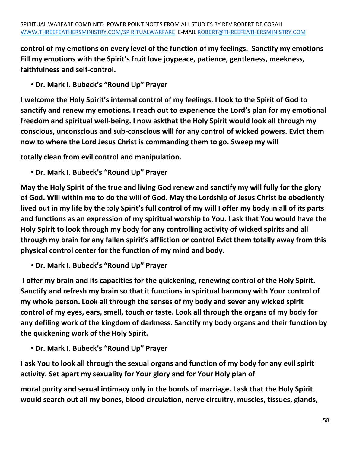**control of my emotions on every level of the function of my feelings. Sanctify my emotions Fill my emotions with the Spirit's fruit love joypeace, patience, gentleness, meekness, faithfulness and self-control.** 

```
• Dr. Mark I. Bubeck's "Round Up" Prayer
```
**I welcome the Holy Spirit's internal control of my feelings. I look to the Spirit of God to sanctify and renew my emotions. I reach out to experience the Lord's plan for my emotional freedom and spiritual well-being. I now askthat the Holy Spirit would look all through my conscious, unconscious and sub-conscious will for any control of wicked powers. Evict them now to where the Lord Jesus Christ is commanding them to go. Sweep my will** 

**totally clean from evil control and manipulation.** 

• **Dr. Mark I. Bubeck's "Round Up" Prayer**

**May the Holy Spirit of the true and living God renew and sanctify my will fully for the glory of God. Will within me to do the will of God. May the Lordship of Jesus Christ be obediently lived out in my life by the :oly Spirit's full control of my will I offer my body in all of its parts and functions as an expression of my spiritual worship to You. I ask that You would have the Holy Spirit to look through my body for any controlling activity of wicked spirits and all through my brain for any fallen spirit's affliction or control Evict them totally away from this physical control center for the function of my mind and body.**

• **Dr. Mark I. Bubeck's "Round Up" Prayer**

**I offer my brain and its capacities for the quickening, renewing control of the Holy Spirit. Sanctify and refresh my brain so that it functions in spiritual harmony with Your control of my whole person. Look all through the senses of my body and sever any wicked spirit control of my eyes, ears, smell, touch or taste. Look all through the organs of my body for any defiling work of the kingdom of darkness. Sanctify my body organs and their function by the quickening work of the Holy Spirit.**

```
• Dr. Mark I. Bubeck's "Round Up" Prayer
```
**I ask You to look all through the sexual organs and function of my body for any evil spirit activity. Set apart my sexuality for Your glory and for Your Holy plan of**

**moral purity and sexual intimacy only in the bonds of marriage. I ask that the Holy Spirit would search out all my bones, blood circulation, nerve circuitry, muscles, tissues, glands,**